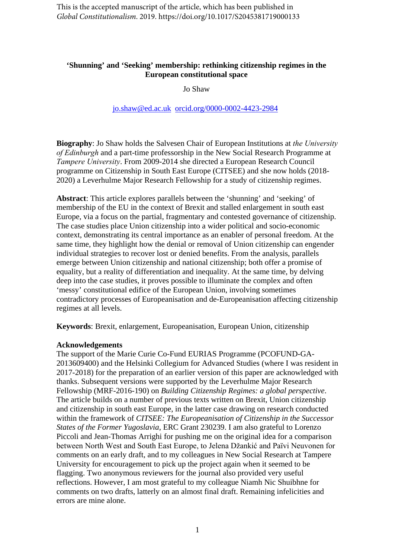### **'Shunning' and 'Seeking' membership: rethinking citizenship regimes in the European constitutional space**

[Jo Shaw](mailto:jo.shaw@ed.ac.uk) 

### jo.shaw@ed.ac.uk [orcid.org/0000-0002-44](http://orcid.org/0000-0002-4423-2984)23-2984

**Biography**: Jo Shaw holds the Salvesen Chair of European Institutions at *the University of Edinburgh* and a part-time professorship in the New Social Research Programme at *Tampere University*. From 2009-2014 she directed a European Research Council programme on Citizenship in South East Europe (CITSEE) and she now holds (2018- 2020) a Leverhulme Major Research Fellowship for a study of citizenship regimes.

**Abstract**: This article explores parallels between the 'shunning' and 'seeking' of membership of the EU in the context of Brexit and stalled enlargement in south east Europe, via a focus on the partial, fragmentary and contested governance of citizenship. The case studies place Union citizenship into a wider political and socio-economic context, demonstrating its central importance as an enabler of personal freedom. At the same time, they highlight how the denial or removal of Union citizenship can engender individual strategies to recover lost or denied benefits. From the analysis, parallels emerge between Union citizenship and national citizenship; both offer a promise of equality, but a reality of differentiation and inequality. At the same time, by delving deep into the case studies, it proves possible to illuminate the complex and often 'messy' constitutional edifice of the European Union, involving sometimes contradictory processes of Europeanisation and de-Europeanisation affecting citizenship regimes at all levels.

**Keywords**: Brexit, enlargement, Europeanisation, European Union, citizenship

#### **Acknowledgements**

The support of the Marie Curie Co-Fund EURIAS Programme (PCOFUND-GA-2013609400) and the Helsinki Collegium for Advanced Studies (where I was resident in 2017-2018) for the preparation of an earlier version of this paper are acknowledged with thanks. Subsequent versions were supported by the Leverhulme Major Research Fellowship (MRF-2016-190) on *Building Citizenship Regimes: a global perspective*. The article builds on a number of previous texts written on Brexit, Union citizenship and citizenship in south east Europe, in the latter case drawing on research conducted within the framework of *CITSEE: The Europeanisation of Citizenship in the Successor States of the Former Yugoslavia*, ERC Grant 230239. I am also grateful to Lorenzo Piccoli and Jean-Thomas Arrighi for pushing me on the original idea for a comparison between North West and South East Europe, to Jelena Džankić and Païvi Neuvonen for comments on an early draft, and to my colleagues in New Social Research at Tampere University for encouragement to pick up the project again when it seemed to be flagging. Two anonymous reviewers for the journal also provided very useful reflections. However, I am most grateful to my colleague Niamh Nic Shuibhne for comments on two drafts, latterly on an almost final draft. Remaining infelicities and errors are mine alone.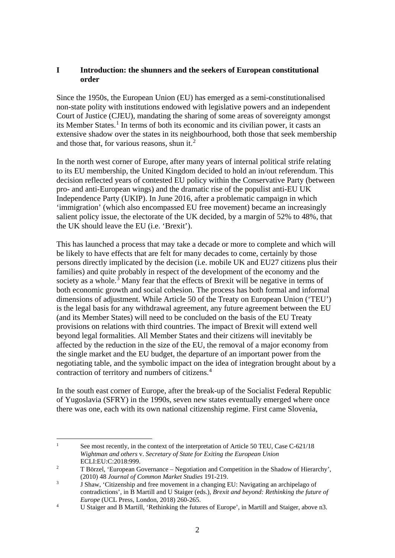## **I Introduction: the shunners and the seekers of European constitutional order**

<span id="page-1-5"></span>Since the 1950s, the European Union (EU) has emerged as a semi-constitutionalised non-state polity with institutions endowed with legislative powers and an independent Court of Justice (CJEU), mandating the sharing of some areas of sovereignty amongst its Member States.<sup>[1](#page-1-1)</sup> In terms of both its economic and its civilian power, it casts an extensive shadow over the states in its neighbourhood, both those that seek membership and those that, for various reasons, shun it.<sup>[2](#page-1-2)</sup>

<span id="page-1-6"></span>In the north west corner of Europe, after many years of internal political strife relating to its EU membership, the United Kingdom decided to hold an in/out referendum. This decision reflected years of contested EU policy within the Conservative Party (between pro- and anti-European wings) and the dramatic rise of the populist anti-EU UK Independence Party (UKIP). In June 2016, after a problematic campaign in which 'immigration' (which also encompassed EU free movement) became an increasingly salient policy issue, the electorate of the UK decided, by a margin of 52% to 48%, that the UK should leave the EU (i.e. 'Brexit').

<span id="page-1-0"></span>This has launched a process that may take a decade or more to complete and which will be likely to have effects that are felt for many decades to come, certainly by those persons directly implicated by the decision (i.e. mobile UK and EU27 citizens plus their families) and quite probably in respect of the development of the economy and the society as a whole.<sup>[3](#page-1-3)</sup> Many fear that the effects of Brexit will be negative in terms of both economic growth and social cohesion. The process has both formal and informal dimensions of adjustment. While Article 50 of the Treaty on European Union ('TEU') is the legal basis for any withdrawal agreement, any future agreement between the EU (and its Member States) will need to be concluded on the basis of the EU Treaty provisions on relations with third countries. The impact of Brexit will extend well beyond legal formalities. All Member States and their citizens will inevitably be affected by the reduction in the size of the EU, the removal of a major economy from the single market and the EU budget, the departure of an important power from the negotiating table, and the symbolic impact on the idea of integration brought about by a contraction of territory and numbers of citizens.[4](#page-1-4)

In the south east corner of Europe, after the break-up of the Socialist Federal Republic of Yugoslavia (SFRY) in the 1990s, seven new states eventually emerged where once there was one, each with its own national citizenship regime. First came Slovenia,

<span id="page-1-1"></span><sup>&</sup>lt;sup>1</sup> See most recently, in the context of the interpretation of Article 50 TEU, Case C-621/18 *Wightman and others* v. *Secretary of State for Exiting the European Union*  ECLI:EU:C:2018:999.

<span id="page-1-2"></span><sup>&</sup>lt;sup>2</sup> T Börzel, 'European Governance – Negotiation and Competition in the Shadow of Hierarchy', (2010) 48 *Journal of Common Market Studies* 191-219. 3 J Shaw, 'Citizenship and free movement in a changing EU: Navigating an archipelago of

<span id="page-1-3"></span>contradictions', in B Martill and U Staiger (eds.), *Brexit and beyond: Rethinking the future of Europe* (UCL Press, London, 2018) 260-265.

<span id="page-1-4"></span><sup>4</sup> U Staiger and B Martill, 'Rethinking the futures of Europe', in Martill and Staiger, above [n3.](#page-1-0)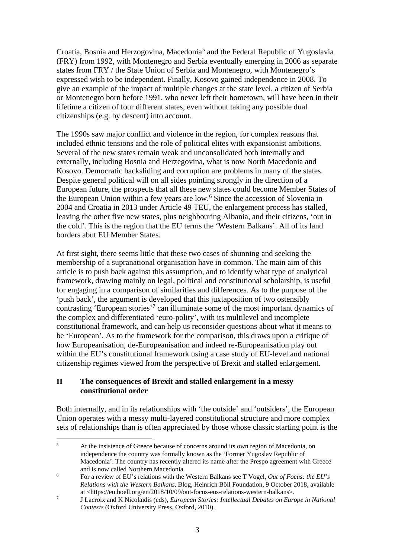Croatia, Bosnia and Herzogovina, Macedonia<sup>[5](#page-2-0)</sup> and the Federal Republic of Yugoslavia (FRY) from 1992, with Montenegro and Serbia eventually emerging in 2006 as separate states from FRY / the State Union of Serbia and Montenegro, with Montenegro's expressed wish to be independent. Finally, Kosovo gained independence in 2008. To give an example of the impact of multiple changes at the state level, a citizen of Serbia or Montenegro born before 1991, who never left their hometown, will have been in their lifetime a citizen of four different states, even without taking any possible dual citizenships (e.g. by descent) into account.

The 1990s saw major conflict and violence in the region, for complex reasons that included ethnic tensions and the role of political elites with expansionist ambitions. Several of the new states remain weak and unconsolidated both internally and externally, including Bosnia and Herzegovina, what is now North Macedonia and Kosovo. Democratic backsliding and corruption are problems in many of the states. Despite general political will on all sides pointing strongly in the direction of a European future, the prospects that all these new states could become Member States of the European Union within a few years are low.[6](#page-2-1) Since the accession of Slovenia in 2004 and Croatia in 2013 under Article 49 TEU, the enlargement process has stalled, leaving the other five new states, plus neighbouring Albania, and their citizens, 'out in the cold'. This is the region that the EU terms the 'Western Balkans'. All of its land borders abut EU Member States.

At first sight, there seems little that these two cases of shunning and seeking the membership of a supranational organisation have in common. The main aim of this article is to push back against this assumption, and to identify what type of analytical framework, drawing mainly on legal, political and constitutional scholarship, is useful for engaging in a comparison of similarities and differences. As to the purpose of the 'push back', the argument is developed that this juxtaposition of two ostensibly contrasting 'European stories'[7](#page-2-2) can illuminate some of the most important dynamics of the complex and differentiated 'euro-polity', with its multilevel and incomplete constitutional framework, and can help us reconsider questions about what it means to be 'European'. As to the framework for the comparison, this draws upon a critique of how Europeanisation, de-Europeanisation and indeed re-Europeanisation play out within the EU's constitutional framework using a case study of EU-level and national citizenship regimes viewed from the perspective of Brexit and stalled enlargement.

### **II The consequences of Brexit and stalled enlargement in a messy constitutional order**

Both internally, and in its relationships with 'the outside' and 'outsiders', the European Union operates with a messy multi-layered constitutional structure and more complex sets of relationships than is often appreciated by those whose classic starting point is the

<span id="page-2-0"></span><sup>&</sup>lt;sup>5</sup> At the insistence of Greece because of concerns around its own region of Macedonia, on independence the country was formally known as the 'Former Yugoslav Republic of Macedonia'. The country has recently altered its name after the Prespo agreement with Greece and is now called Northern Macedonia.

<span id="page-2-1"></span><sup>6</sup> For a review of EU's relations with the Western Balkans see T Vogel, *Out of Focus: the EU's Relations with the Western Balkans*, Blog, Heinrich Böll Foundation, 9 October 2018, available at <https://eu.boell.org/en/2018/10/09/out-focus-eus-relations-western-balkans>.

<span id="page-2-2"></span><sup>7</sup> J Lacroix and K Nicolaïdis (eds), *European Stories: Intellectual Debates on Europe in National Contexts* (Oxford University Press, Oxford, 2010).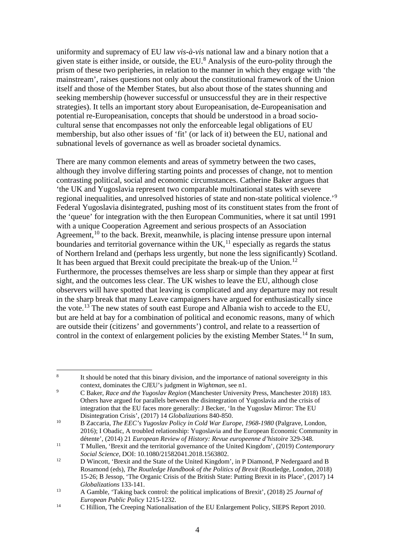<span id="page-3-7"></span>uniformity and supremacy of EU law *vis-à-vis* national law and a binary notion that a given state is either inside, or outside, the EU. [8](#page-3-0) Analysis of the euro-polity through the prism of these two peripheries, in relation to the manner in which they engage with 'the mainstream', raises questions not only about the constitutional framework of the Union itself and those of the Member States, but also about those of the states shunning and seeking membership (however successful or unsuccessful they are in their respective strategies). It tells an important story about Europeanisation, de-Europeanisation and potential re-Europeanisation, concepts that should be understood in a broad sociocultural sense that encompasses not only the enforceable legal obligations of EU membership, but also other issues of 'fit' (or lack of it) between the EU, national and subnational levels of governance as well as broader societal dynamics.

<span id="page-3-10"></span><span id="page-3-8"></span>There are many common elements and areas of symmetry between the two cases, although they involve differing starting points and processes of change, not to mention contrasting political, social and economic circumstances. Catherine Baker argues that 'the UK and Yugoslavia represent two comparable multinational states with severe regional inequalities, and unresolved histories of state and non-state political violence.'[9](#page-3-1) Federal Yugoslavia disintegrated, pushing most of its constituent states from the front of the 'queue' for integration with the then European Communities, where it sat until 1991 with a unique Cooperation Agreement and serious prospects of an Association Agreement,<sup>[10](#page-3-2)</sup> to the back. Brexit, meanwhile, is placing intense pressure upon internal boundaries and territorial governance within the UK, $^{11}$  $^{11}$  $^{11}$  especially as regards the status of Northern Ireland and (perhaps less urgently, but none the less significantly) Scotland. It has been argued that Brexit could precipitate the break-up of the Union.<sup>[12](#page-3-4)</sup> Furthermore, the processes themselves are less sharp or simple than they appear at first sight, and the outcomes less clear. The UK wishes to leave the EU, although close observers will have spotted that leaving is complicated and any departure may not result in the sharp break that many Leave campaigners have argued for enthusiastically since the vote.<sup>[13](#page-3-5)</sup> The new states of south east Europe and Albania wish to accede to the EU, but are held at bay for a combination of political and economic reasons, many of which are outside their (citizens' and governments') control, and relate to a reassertion of control in the context of enlargement policies by the existing Member States.<sup>[14](#page-3-6)</sup> In sum,

<span id="page-3-9"></span><span id="page-3-0"></span><sup>&</sup>lt;sup>8</sup> It should be noted that this binary division, and the importance of national sovereignty in this context, dominates the CJEU's judgment in *Wightman*, see [n1.](#page-1-5)

<span id="page-3-1"></span><sup>9</sup> C Baker, *Race and the Yugoslav Region* (Manchester University Press, Manchester 2018) 183. Others have argued for parallels between the disintegration of Yugoslavia and the crisis of integration that the EU faces more generally: J Becker, 'In the Yugoslav Mirror: The EU Disintegration Crisis', (2017) 14 *Globalizations* 840-850.

<span id="page-3-2"></span><sup>&</sup>lt;sup>10</sup> B Zaccaria, *The EEC's Yugoslav Policy in Cold War Europe, 1968-1980* (Palgrave, London, 2016); I Obadic, A troubled relationship: Yugoslavia and the European Economic Community in détente', (2014) 21 *European Review of History: Revue europeenne d'histoire* 329-348.

<span id="page-3-3"></span><sup>11</sup> T Mullen, 'Brexit and the territorial governance of the United Kingdom', (2019) *Contemporary Social Science*, DOI: 10.1080/21582041.2018.1563802.

<span id="page-3-4"></span><sup>&</sup>lt;sup>12</sup> D Wincott, 'Brexit and the State of the United Kingdom', in P Diamond, P Nedergaard and B Rosamond (eds), *The Routledge Handbook of the Politics of Brexit* (Routledge, London, 2018) 15-26; B Jessop, 'The Organic Crisis of the British State: Putting Brexit in its Place', (2017) 14 *Globalizations* 133-141.

<span id="page-3-5"></span><sup>13</sup> A Gamble, 'Taking back control: the political implications of Brexit', (2018) 25 *Journal of European Public Policy* 1215-1232.

<span id="page-3-6"></span><sup>&</sup>lt;sup>14</sup> C Hillion, The Creeping Nationalisation of the EU Enlargement Policy, SIEPS Report 2010.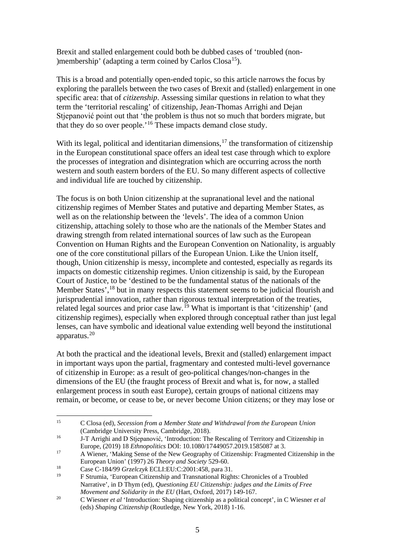<span id="page-4-9"></span>Brexit and stalled enlargement could both be dubbed cases of 'troubled (non- )membership' (adapting a term coined by Carlos  $C$ losa<sup>[15](#page-4-0)</sup>).

This is a broad and potentially open-ended topic, so this article narrows the focus by exploring the parallels between the two cases of Brexit and (stalled) enlargement in one specific area: that of *citizenship*. Assessing similar questions in relation to what they term the 'territorial rescaling' of citizenship, Jean-Thomas Arrighi and Dejan Stjepanović point out that 'the problem is thus not so much that borders migrate, but that they do so over people.<sup>'[16](#page-4-1)</sup> These impacts demand close study.

With its legal, political and identitarian dimensions,<sup>[17](#page-4-2)</sup> the transformation of citizenship in the European constitutional space offers an ideal test case through which to explore the processes of integration and disintegration which are occurring across the north western and south eastern borders of the EU. So many different aspects of collective and individual life are touched by citizenship.

The focus is on both Union citizenship at the supranational level and the national citizenship regimes of Member States and putative and departing Member States, as well as on the relationship between the 'levels'. The idea of a common Union citizenship, attaching solely to those who are the nationals of the Member States and drawing strength from related international sources of law such as the European Convention on Human Rights and the European Convention on Nationality, is arguably one of the core constitutional pillars of the European Union. Like the Union itself, though, Union citizenship is messy, incomplete and contested, especially as regards its impacts on domestic citizenship regimes. Union citizenship is said, by the European Court of Justice, to be 'destined to be the fundamental status of the nationals of the Member States', <sup>[18](#page-4-3)</sup> but in many respects this statement seems to be judicial flourish and jurisprudential innovation, rather than rigorous textual interpretation of the treaties, related legal sources and prior case law.<sup>[19](#page-4-4)</sup> What is important is that 'citizenship' (and citizenship regimes), especially when explored through conceptual rather than just legal lenses, can have symbolic and ideational value extending well beyond the institutional apparatus. $20$ 

<span id="page-4-8"></span><span id="page-4-7"></span><span id="page-4-6"></span>At both the practical and the ideational levels, Brexit and (stalled) enlargement impact in important ways upon the partial, fragmentary and contested multi-level governance of citizenship in Europe: as a result of geo-political changes/non-changes in the dimensions of the EU (the fraught process of Brexit and what is, for now, a stalled enlargement process in south east Europe), certain groups of national citizens may remain, or become, or cease to be, or never become Union citizens; or they may lose or

<span id="page-4-0"></span> <sup>15</sup> C Closa (ed), *Secession from a Member State and Withdrawal from the European Union* (Cambridge University Press, Cambridge, 2018).

<span id="page-4-1"></span><sup>&</sup>lt;sup>16</sup> J-T Arrighi and D Stjepanović, 'Introduction: The Rescaling of Territory and Citizenship in Europe, (2019) 18 *Ethnopolitics* DOI: 10.1080/17449057.2019.1585087 at 3.

<span id="page-4-2"></span><sup>&</sup>lt;sup>17</sup> A Wiener, 'Making Sense of the New Geography of Citizenship: Fragmented Citizenship in the European Union' (1997) 26 *Theory and Society* 529-60.

<span id="page-4-3"></span><sup>18</sup> Case C-184/99 *Grzelczyk* ECLI:EU:C:2001:458, para 31.

<span id="page-4-4"></span><sup>19</sup> F Strumia, 'European Citizenship and Transnational Rights: Chronicles of a Troubled Narrative', in D Thym (ed), *Questioning EU Citizenship: judges and the Limits of Free Movement and Solidarity in the EU* (Hart, Oxford, 2017) 149-167.

<span id="page-4-5"></span><sup>20</sup> C Wiesner *et al* 'Introduction: Shaping citizenship as a political concept', in C Wiesner *et al* (eds) *Shaping Citizenship* (Routledge, New York, 2018) 1-16.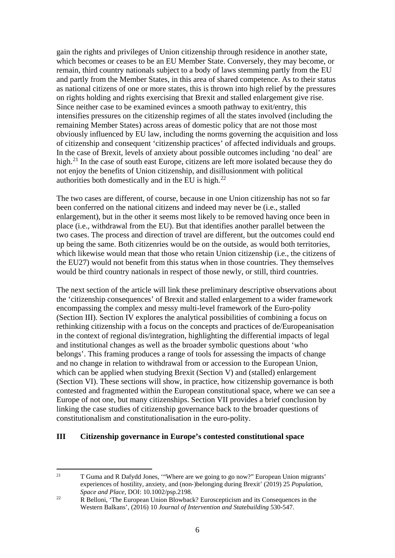<span id="page-5-2"></span>gain the rights and privileges of Union citizenship through residence in another state, which becomes or ceases to be an EU Member State. Conversely, they may become, or remain, third country nationals subject to a body of laws stemming partly from the EU and partly from the Member States, in this area of shared competence. As to their status as national citizens of one or more states, this is thrown into high relief by the pressures on rights holding and rights exercising that Brexit and stalled enlargement give rise. Since neither case to be examined evinces a smooth pathway to exit/entry, this intensifies pressures on the citizenship regimes of all the states involved (including the remaining Member States) across areas of domestic policy that are not those most obviously influenced by EU law, including the norms governing the acquisition and loss of citizenship and consequent 'citizenship practices' of affected individuals and groups. In the case of Brexit, levels of anxiety about possible outcomes including 'no deal' are high.<sup>[21](#page-5-0)</sup> In the case of south east Europe, citizens are left more isolated because they do not enjoy the benefits of Union citizenship, and disillusionment with political authorities both domestically and in the EU is high. $^{22}$  $^{22}$  $^{22}$ 

<span id="page-5-3"></span>The two cases are different, of course, because in one Union citizenship has not so far been conferred on the national citizens and indeed may never be (i.e., stalled enlargement), but in the other it seems most likely to be removed having once been in place (i.e., withdrawal from the EU). But that identifies another parallel between the two cases. The process and direction of travel are different, but the outcomes could end up being the same. Both citizenries would be on the outside, as would both territories, which likewise would mean that those who retain Union citizenship (i.e., the citizens of the EU27) would not benefit from this status when in those countries. They themselves would be third country nationals in respect of those newly, or still, third countries.

The next section of the article will link these preliminary descriptive observations about the 'citizenship consequences' of Brexit and stalled enlargement to a wider framework encompassing the complex and messy multi-level framework of the Euro-polity (Section III). Section IV explores the analytical possibilities of combining a focus on rethinking citizenship with a focus on the concepts and practices of de/Europeanisation in the context of regional dis/integration, highlighting the differential impacts of legal and institutional changes as well as the broader symbolic questions about 'who belongs'. This framing produces a range of tools for assessing the impacts of change and no change in relation to withdrawal from or accession to the European Union, which can be applied when studying Brexit (Section V) and (stalled) enlargement (Section VI). These sections will show, in practice, how citizenship governance is both contested and fragmented within the European constitutional space, where we can see a Europe of not one, but many citizenships. Section VII provides a brief conclusion by linking the case studies of citizenship governance back to the broader questions of constitutionalism and constitutionalisation in the euro-polity.

### **III Citizenship governance in Europe's contested constitutional space**

<span id="page-5-0"></span><sup>&</sup>lt;sup>21</sup> T Guma and R Dafydd Jones, "Where are we going to go now?" European Union migrants' experiences of hostility, anxiety, and (non‐)belonging during Brexit' (2019) 25 *Population, Space and Place*, DOI: 10.1002/psp.2198.

<span id="page-5-1"></span><sup>&</sup>lt;sup>22</sup> R Belloni, 'The European Union Blowback? Euroscepticism and its Consequences in the Western Balkans', (2016) 10 *Journal of Intervention and Statebuilding* 530-547.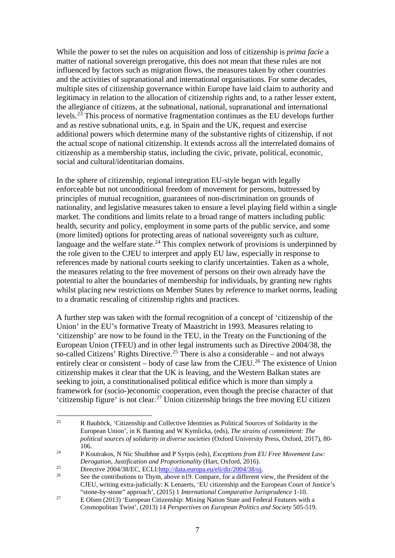While the power to set the rules on acquisition and loss of citizenship is *prima facie* a matter of national sovereign prerogative, this does not mean that these rules are not influenced by factors such as migration flows, the measures taken by other countries and the activities of supranational and international organisations. For some decades, multiple sites of citizenship governance within Europe have laid claim to authority and legitimacy in relation to the allocation of citizenship rights and, to a rather lesser extent, the allegiance of citizens, at the subnational, national, supranational and international levels.[23](#page-6-0) This process of normative fragmentation continues as the EU develops further and as restive subnational units, e.g. in Spain and the UK, request and exercise additional powers which determine many of the substantive rights of citizenship, if not the actual scope of national citizenship. It extends across all the interrelated domains of citizenship as a membership status, including the civic, private, political, economic, social and cultural/identitarian domains.

In the sphere of citizenship, regional integration EU-style began with legally enforceable but not unconditional freedom of movement for persons, buttressed by principles of mutual recognition, guarantees of non-discrimination on grounds of nationality, and legislative measures taken to ensure a level playing field within a single market. The conditions and limits relate to a broad range of matters including public health, security and policy, employment in some parts of the public service, and some (more limited) options for protecting areas of national sovereignty such as culture, language and the welfare state.<sup>[24](#page-6-1)</sup> This complex network of provisions is underpinned by the role given to the CJEU to interpret and apply EU law, especially in response to references made by national courts seeking to clarify uncertainties. Taken as a whole, the measures relating to the free movement of persons on their own already have the potential to alter the boundaries of membership for individuals, by granting new rights whilst placing new restrictions on Member States by reference to market norms, leading to a dramatic rescaling of citizenship rights and practices.

A further step was taken with the formal recognition of a concept of 'citizenship of the Union' in the EU's formative Treaty of Maastricht in 1993. Measures relating to 'citizenship' are now to be found in the TEU, in the Treaty on the Functioning of the European Union (TFEU) and in other legal instruments such as Directive 2004/38, the so-called Citizens' Rights Directive.<sup>[25](#page-6-2)</sup> There is also a considerable – and not always entirely clear or consistent – body of case law from the CJEU.<sup>[26](#page-6-3)</sup> The existence of Union citizenship makes it clear that the UK is leaving, and the Western Balkan states are seeking to join, a constitutionalised political edifice which is more than simply a framework for (socio-)economic cooperation, even though the precise character of that 'citizenship figure' is not clear. [27](#page-6-4) Union citizenship brings the free moving EU citizen

<span id="page-6-0"></span> <sup>23</sup> R Bauböck, 'Citizenship and Collective Identities as Political Sources of Solidarity in the European Union', in K Banting and W Kymlicka, (eds), *The strains of commitment: The political sources of solidarity in diverse societies* (Oxford University Press, Oxford, 2017), 80- 106.

<span id="page-6-1"></span><sup>24</sup> P Koutrakos, N Nic Shuibhne and P Syrpis (eds), *Exceptions from EU Free Movement Law: Derogation, Justification and Proportionality* (Hart, Oxford, 2016).

<span id="page-6-2"></span><sup>&</sup>lt;sup>25</sup> Directive 2004/38/EC, ECLI: $\frac{http://data.europa.eu/eli/dir/2004/38/oj}{26}$ .

<span id="page-6-3"></span><sup>26</sup> See the contributions to Thym, above [n19.](#page-4-6) Compare, for a different view, the President of the CJEU, writing extra-judicially: K Lenaerts, 'EU citizenship and the European Court of Justice's "stone-by-stone" approach', (2015) 1 *International Comparative Jurisprudence* 1-10.

<span id="page-6-4"></span><sup>&</sup>lt;sup>27</sup> E Olsen (2013) 'European Citizenship: Mixing Nation State and Federal Features with a Cosmopolitan Twist', (2013) 14 *Perspectives on European Politics and Society* 505-519.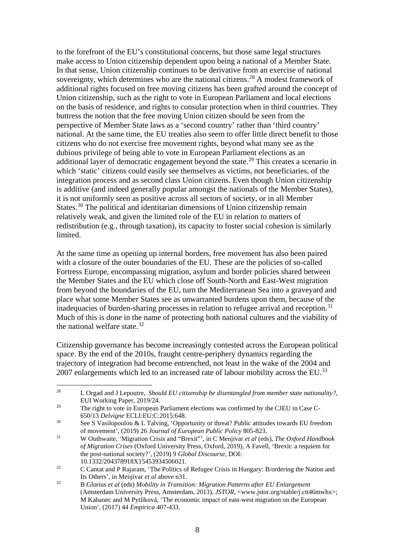<span id="page-7-7"></span>to the forefront of the EU's constitutional concerns, but those same legal structures make access to Union citizenship dependent upon being a national of a Member State. In that sense, Union citizenship continues to be derivative from an exercise of national sovereignty, which determines who are the national citizens.<sup>[28](#page-7-1)</sup> A modest framework of additional rights focused on free moving citizens has been grafted around the concept of Union citizenship, such as the right to vote in European Parliament and local elections on the basis of residence, and rights to consular protection when in third countries. They buttress the notion that the free moving Union citizen should be seen from the perspective of Member State laws as a 'second country' rather than 'third country' national. At the same time, the EU treaties also seem to offer little direct benefit to those citizens who do not exercise free movement rights, beyond what many see as the dubious privilege of being able to vote in European Parliament elections as an additional layer of democratic engagement beyond the state.<sup>[29](#page-7-2)</sup> This creates a scenario in which 'static' citizens could easily see themselves as victims, not beneficiaries, of the integration process and as second class Union citizens. Even though Union citizenship is additive (and indeed generally popular amongst the nationals of the Member States), it is not uniformly seen as positive across all sectors of society, or in all Member States.<sup>[30](#page-7-3)</sup> The political and identitarian dimensions of Union citizenship remain relatively weak, and given the limited role of the EU in relation to matters of redistribution (e.g., through taxation), its capacity to foster social cohesion is similarly limited.

<span id="page-7-8"></span>At the same time as opening up internal borders, free movement has also been paired with a closure of the outer boundaries of the EU. These are the policies of so-called Fortress Europe, encompassing migration, asylum and border policies shared between the Member States and the EU which close off South-North and East-West migration from beyond the boundaries of the EU, turn the Mediterranean Sea into a graveyard and place what some Member States see as unwarranted burdens upon them, because of the inadequacies of burden-sharing processes in relation to refugee arrival and reception.<sup>[31](#page-7-4)</sup> Much of this is done in the name of protecting both national cultures and the viability of the national welfare state. $32$ 

<span id="page-7-0"></span>Citizenship governance has become increasingly contested across the European political space. By the end of the 2010s, fraught centre-periphery dynamics regarding the trajectory of integration had become entrenched, not least in the wake of the 2004 and 2007 enlargements which led to an increased rate of labour mobility across the EU.<sup>[33](#page-7-6)</sup>

<span id="page-7-1"></span> <sup>28</sup> L Orgad and J Lepoutre, *Should EU citizenship be disentangled from member state nationality?*, EUI Working Paper, 2019/24.

<span id="page-7-2"></span><sup>&</sup>lt;sup>29</sup> The right to vote in European Parliament elections was confirmed by the CJEU in Case C-650/13 *Delvigne* ECLI:EU:C:2015:648.

<span id="page-7-3"></span><sup>&</sup>lt;sup>30</sup> See S Vasilopoulou & L Talving, 'Opportunity or threat? Public attitudes towards EU freedom of movement', (2019) 26 *Journal of European Public Policy* 805-823.

<span id="page-7-4"></span><sup>31</sup> W Outhwaite, 'Migration Crisis and "Brexit"', in C Menjívar *et al* (eds), *The Oxford Handbook of Migration Crises* (Oxford University Press, Oxford, 2019), A Favell, 'Brexit: a requiem for the post-national society?', (2019) 9 *Global Discourse*, DOI: 10.1332/204378918X15453934506021.

<span id="page-7-5"></span><sup>&</sup>lt;sup>32</sup> C Cantat and P Rajaram, 'The Politics of Refugee Crisis in Hungary: B/ordering the Nation and Its Others', in Menjívar *et al* above [n31.](#page-7-0)

<span id="page-7-6"></span><sup>33</sup> B Glorius *et al* (eds) *Mobility in Transition: Migration Patterns after EU Enlargement* (Amsterdam University Press, Amsterdam, 2013), *JSTOR*, <www.jstor.org/stable/j.ctt46mwhx>; M Kahanec and M Pytliková, 'The economic impact of east-west migration on the European Union', (2017) 44 *Empirica* 407-433.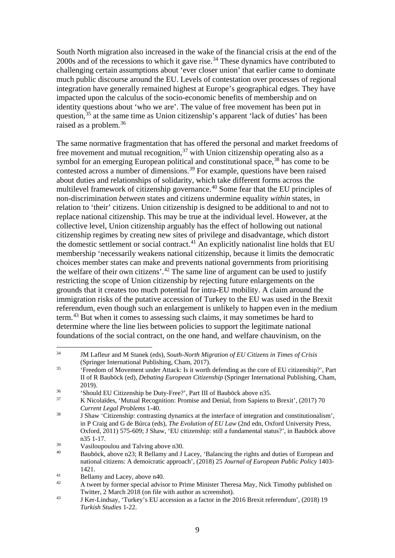South North migration also increased in the wake of the financial crisis at the end of the  $2000s$  and of the recessions to which it gave rise.<sup>[34](#page-8-0)</sup> These dynamics have contributed to challenging certain assumptions about 'ever closer union' that earlier came to dominate much public discourse around the EU. Levels of contestation over processes of regional integration have generally remained highest at Europe's geographical edges. They have impacted upon the calculus of the socio-economic benefits of membership and on identity questions about 'who we are'. The value of free movement has been put in question,[35](#page-8-1) at the same time as Union citizenship's apparent 'lack of duties' has been raised as a problem.[36](#page-8-2)

The same normative fragmentation that has offered the personal and market freedoms of free movement and mutual recognition,<sup>[37](#page-8-3)</sup> with Union citizenship operating also as a symbol for an emerging European political and constitutional space,<sup>[38](#page-8-4)</sup> has come to be contested across a number of dimensions.<sup>[39](#page-8-5)</sup> For example, questions have been raised about duties and relationships of solidarity, which take different forms across the multilevel framework of citizenship governance. [40](#page-8-6) Some fear that the EU principles of non-discrimination *between* states and citizens undermine equality *within* states, in relation to 'their' citizens. Union citizenship is designed to be additional to and not to replace national citizenship. This may be true at the individual level. However, at the collective level, Union citizenship arguably has the effect of hollowing out national citizenship regimes by creating new sites of privilege and disadvantage, which distort the domestic settlement or social contract.<sup>[41](#page-8-7)</sup> An explicitly nationalist line holds that EU membership 'necessarily weakens national citizenship, because it limits the democratic choices member states can make and prevents national governments from prioritising the welfare of their own citizens'.<sup>[42](#page-8-8)</sup> The same line of argument can be used to justify restricting the scope of Union citizenship by rejecting future enlargements on the grounds that it creates too much potential for intra-EU mobility. A claim around the immigration risks of the putative accession of Turkey to the EU was used in the Brexit referendum, even though such an enlargement is unlikely to happen even in the medium term.[43](#page-8-9) But when it comes to assessing such claims, it may sometimes be hard to determine where the line lies between policies to support the legitimate national foundations of the social contract, on the one hand, and welfare chauvinism, on the

<span id="page-8-0"></span> <sup>34</sup> JM Lafleur and M Stanek (eds), *South-North Migration of EU Citizens in Times of Crisis* (Springer International Publishing, Cham, 2017).

<span id="page-8-1"></span> $35$  'Freedom of Movement under Attack: Is it worth defending as the core of EU citizenship?', Part II of R Bauböck (ed), *Debating European Citizenship* (Springer International Publishing, Cham, 2019).

<span id="page-8-2"></span><sup>&</sup>lt;sup>36</sup> 'Should EU Citizenship be Duty-Free?', Part III of Bauböck above [n35.](#page-7-7)<br> $V_{\text{N}}$  Nicolaëdes, 'Mutual Becognition, Promise and Daniel, from Seniors to

<span id="page-8-3"></span><sup>37</sup> K Nicolaïdes, 'Mutual Recognition: Promise and Denial, from Sapiens to Brexit', (2017) 70 *Current Legal Problems* 1-40.

<span id="page-8-4"></span><sup>&</sup>lt;sup>38</sup> J Shaw 'Citizenship: contrasting dynamics at the interface of integration and constitutionalism', in P Craig and G de Búrca (eds), *The Evolution of EU Law* (2nd edn, Oxford University Press, Oxford, 2011) 575-609; J Shaw, 'EU citizenship: still a fundamental status?', in Bauböck above [n35](#page-7-7) 1-17.

<span id="page-8-5"></span><sup>&</sup>lt;sup>39</sup> Vasiloupoulou and Talving above [n30.](#page-7-8)<br> $\frac{40}{2}$  Poukëek above n<sup>32</sup>; B Pollamy and U

<span id="page-8-6"></span><sup>40</sup> Bauböck, above [n23;](#page-5-2) R Bellamy and J Lacey, 'Balancing the rights and duties of European and national citizens: A demoicratic approach', (2018) 25 *Journal of European Public Policy* 1403- 1421.

<span id="page-8-8"></span><span id="page-8-7"></span><sup>41</sup> Bellamy and Lacey, above [n40.](#page-7-7)

<sup>42</sup> A tweet by former special advisor to Prime Minister Theresa May, Nick Timothy published on Twitter, 2 March 2018 (on file with author as screenshot).

<span id="page-8-9"></span><sup>43</sup> J Ker-Lindsay, 'Turkey's EU accession as a factor in the 2016 Brexit referendum', (2018) 19 *Turkish Studies* 1-22.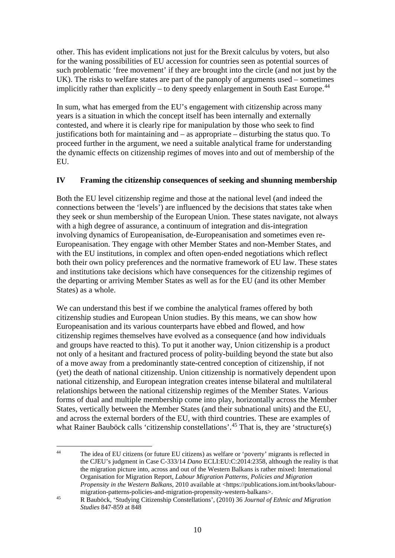other. This has evident implications not just for the Brexit calculus by voters, but also for the waning possibilities of EU accession for countries seen as potential sources of such problematic 'free movement' if they are brought into the circle (and not just by the UK). The risks to welfare states are part of the panoply of arguments used – sometimes implicitly rather than explicitly – to deny speedy enlargement in South East Europe.<sup>[44](#page-9-0)</sup>

In sum, what has emerged from the EU's engagement with citizenship across many years is a situation in which the concept itself has been internally and externally contested, and where it is clearly ripe for manipulation by those who seek to find justifications both for maintaining and – as appropriate – disturbing the status quo. To proceed further in the argument, we need a suitable analytical frame for understanding the dynamic effects on citizenship regimes of moves into and out of membership of the EU.

# **IV Framing the citizenship consequences of seeking and shunning membership**

Both the EU level citizenship regime and those at the national level (and indeed the connections between the 'levels') are influenced by the decisions that states take when they seek or shun membership of the European Union. These states navigate, not always with a high degree of assurance, a continuum of integration and dis-integration involving dynamics of Europeanisation, de-Europeanisation and sometimes even re-Europeanisation. They engage with other Member States and non-Member States, and with the EU institutions, in complex and often open-ended negotiations which reflect both their own policy preferences and the normative framework of EU law. These states and institutions take decisions which have consequences for the citizenship regimes of the departing or arriving Member States as well as for the EU (and its other Member States) as a whole.

We can understand this best if we combine the analytical frames offered by both citizenship studies and European Union studies. By this means, we can show how Europeanisation and its various counterparts have ebbed and flowed, and how citizenship regimes themselves have evolved as a consequence (and how individuals and groups have reacted to this). To put it another way, Union citizenship is a product not only of a hesitant and fractured process of polity-building beyond the state but also of a move away from a predominantly state-centred conception of citizenship, if not (yet) the death of national citizenship. Union citizenship is normatively dependent upon national citizenship, and European integration creates intense bilateral and multilateral relationships between the national citizenship regimes of the Member States. Various forms of dual and multiple membership come into play, horizontally across the Member States, vertically between the Member States (and their subnational units) and the EU, and across the external borders of the EU, with third countries. These are examples of what Rainer Bauböck calls 'citizenship constellations'.<sup>[45](#page-9-1)</sup> That is, they are 'structure(s)

<span id="page-9-0"></span> <sup>44</sup> The idea of EU citizens (or future EU citizens) as welfare or 'poverty' migrants is reflected in the CJEU's judgment in Case C-333/14 *Dano* ECLI:EU:C:2014:2358, although the reality is that the migration picture into, across and out of the Western Balkans is rather mixed: International Organisation for Migration Report, *Labour Migration Patterns, Policies and Migration Propensity in the Western Balkans*, 2010 available at <https://publications.iom.int/books/labourmigration-patterns-policies-and-migration-propensity-western-balkans>.

<span id="page-9-1"></span><sup>45</sup> R Bauböck, 'Studying Citizenship Constellations', (2010) 36 *Journal of Ethnic and Migration Studies* 847-859 at 848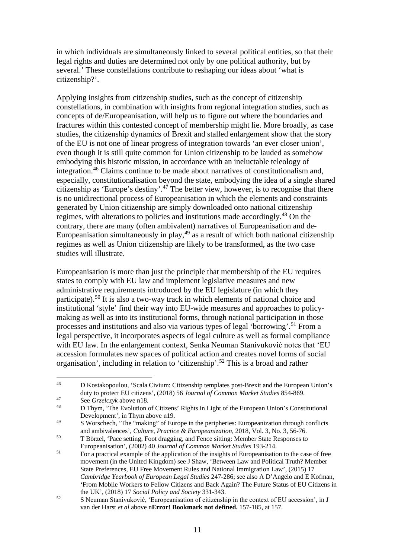<span id="page-10-7"></span>in which individuals are simultaneously linked to several political entities, so that their legal rights and duties are determined not only by one political authority, but by several.' These constellations contribute to reshaping our ideas about 'what is citizenship?'.

Applying insights from citizenship studies, such as the concept of citizenship constellations, in combination with insights from regional integration studies, such as concepts of de/Europeanisation, will help us to figure out where the boundaries and fractures within this contested concept of membership might lie. More broadly, as case studies, the citizenship dynamics of Brexit and stalled enlargement show that the story of the EU is not one of linear progress of integration towards 'an ever closer union', even though it is still quite common for Union citizenship to be lauded as somehow embodying this historic mission, in accordance with an ineluctable teleology of integration. [46](#page-10-0) Claims continue to be made about narratives of constitutionalism and, especially, constitutionalisation beyond the state, embodying the idea of a single shared citizenship as 'Europe's destiny'. $47$  The better view, however, is to recognise that there is no unidirectional process of Europeanisation in which the elements and constraints generated by Union citizenship are simply downloaded onto national citizenship regimes, with alterations to policies and institutions made accordingly.[48](#page-10-2) On the contrary, there are many (often ambivalent) narratives of Europeanisation and de-Europeanisation simultaneously in play, [49](#page-10-3) as a result of which both national citizenship regimes as well as Union citizenship are likely to be transformed, as the two case studies will illustrate.

<span id="page-10-8"></span>Europeanisation is more than just the principle that membership of the EU requires states to comply with EU law and implement legislative measures and new administrative requirements introduced by the EU legislature (in which they participate).<sup>[50](#page-10-4)</sup> It is also a two-way track in which elements of national choice and institutional 'style' find their way into EU-wide measures and approaches to policymaking as well as into its institutional forms, through national participation in those processes and institutions and also via various types of legal 'borrowing'. [51](#page-10-5) From a legal perspective, it incorporates aspects of legal culture as well as formal compliance with EU law. In the enlargement context, Senka Neuman Stanivuković notes that 'EU accession formulates new spaces of political action and creates novel forms of social organisation', including in relation to 'citizenship'.[52](#page-10-6) This is a broad and rather

<span id="page-10-0"></span> <sup>46</sup> D Kostakopoulou, 'Scala Civium: Citizenship templates post-Brexit and the European Union's duty to protect EU citizens', (2018) 56 *Journal of Common Market Studies* 854-869.

<span id="page-10-1"></span><sup>47</sup> See *Grzelczyk* above [n18.](#page-4-7)

<span id="page-10-2"></span>D Thym, 'The Evolution of Citizens' Rights in Light of the European Union's Constitutional Development', in Thym above n19.

<span id="page-10-3"></span><sup>&</sup>lt;sup>49</sup> S Worschech, 'The "making" of Europe in the peripheries: Europeanization through conflicts and ambivalences', *Culture, Practice & Europeanization*, 2018, Vol. 3, No. 3, 56-76.

<span id="page-10-4"></span><sup>50</sup> T Börzel, 'Pace setting, Foot dragging, and Fence sitting: Member State Responses to Europeanisation', (2002) 40 *Journal of Common Market Studies* 193-214.

<span id="page-10-5"></span><sup>&</sup>lt;sup>51</sup> For a practical example of the application of the insights of Europeanisation to the case of free movement (in the United Kingdom) see J Shaw, 'Between Law and Political Truth? Member State Preferences, EU Free Movement Rules and National Immigration Law', (2015) 17 *Cambridge Yearbook of European Legal Studies* 247-286; see also A D'Angelo and E Kofman, 'From Mobile Workers to Fellow Citizens and Back Again? The Future Status of EU Citizens in the UK', (2018) 17 *Social Policy and Society* 331-343.

<span id="page-10-6"></span><sup>52</sup> S Neuman Stanivuković, 'Europeanisation of citizenship in the context of EU accession', in J van der Harst *et al* above n**Error! Bookmark not defined.** 157-185, at 157.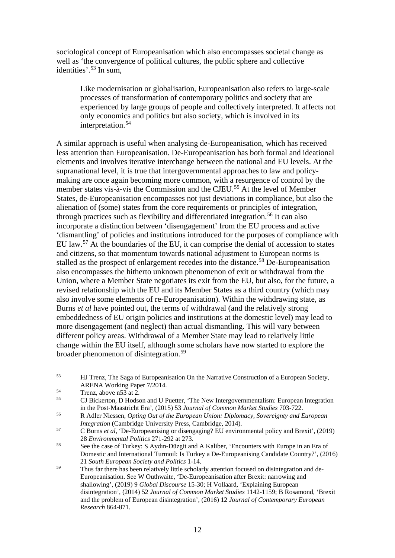<span id="page-11-8"></span>sociological concept of Europeanisation which also encompasses societal change as well as 'the convergence of political cultures, the public sphere and collective identities'.[53](#page-11-0) In sum,

Like modernisation or globalisation, Europeanisation also refers to large-scale processes of transformation of contemporary politics and society that are experienced by large groups of people and collectively interpreted. It affects not only economics and politics but also society, which is involved in its interpretation.<sup>[54](#page-11-1)</sup>

<span id="page-11-7"></span>A similar approach is useful when analysing de-Europeanisation, which has received less attention than Europeanisation. De-Europeanisation has both formal and ideational elements and involves iterative interchange between the national and EU levels. At the supranational level, it is true that intergovernmental approaches to law and policymaking are once again becoming more common, with a resurgence of control by the member states vis-à-vis the Commission and the CJEU. [55](#page-11-2) At the level of Member States, de-Europeanisation encompasses not just deviations in compliance, but also the alienation of (some) states from the core requirements or principles of integration, through practices such as flexibility and differentiated integration.<sup>[56](#page-11-3)</sup> It can also incorporate a distinction between 'disengagement' from the EU process and active 'dismantling' of policies and institutions introduced for the purposes of compliance with EU law.[57](#page-11-4) At the boundaries of the EU, it can comprise the denial of accession to states and citizens, so that momentum towards national adjustment to European norms is stalled as the prospect of enlargement recedes into the distance.<sup>[58](#page-11-5)</sup> De-Europeanisation also encompasses the hitherto unknown phenomenon of exit or withdrawal from the Union, where a Member State negotiates its exit from the EU, but also, for the future, a revised relationship with the EU and its Member States as a third country (which may also involve some elements of re-Europeanisation). Within the withdrawing state, as Burns *et al* have pointed out, the terms of withdrawal (and the relatively strong embeddedness of EU origin policies and institutions at the domestic level) may lead to more disengagement (and neglect) than actual dismantling. This will vary between different policy areas. Withdrawal of a Member State may lead to relatively little change within the EU itself, although some scholars have now started to explore the broader phenomenon of disintegration.<sup>[59](#page-11-6)</sup>

<span id="page-11-0"></span> <sup>53</sup> HJ Trenz, The Saga of Europeanisation On the Narrative Construction of a European Society, ARENA Working Paper 7/2014.

<span id="page-11-1"></span> $54$  Trenz, above [n53](#page-10-7) at 2.

<span id="page-11-2"></span><sup>55</sup> CJ Bickerton, D Hodson and U Puetter, 'The New Intergovernmentalism: European Integration in the Post‐Maastricht Era', (2015) 53 *Journal of Common Market Studies* 703-722. <sup>56</sup> R Adler Niessen, *Opting Out of the European Union: Diplomacy, Sovereignty and European* 

<span id="page-11-3"></span>*Integration* (Cambridge University Press, Cambridge, 2014).

<span id="page-11-4"></span><sup>57</sup> C Burns *et al*, 'De-Europeanising or disengaging? EU environmental policy and Brexit', (2019) 28 *Environmental Politics* 271-292 at 273.

<span id="page-11-5"></span><sup>58</sup> See the case of Turkey: S Aydın-Düzgit and A Kaliber, 'Encounters with Europe in an Era of Domestic and International Turmoil: Is Turkey a De-Europeanising Candidate Country?', (2016) 21 *South European Society and Politics* 1-14.

<span id="page-11-6"></span><sup>&</sup>lt;sup>59</sup> Thus far there has been relatively little scholarly attention focused on disintegration and de-Europeanisation. See W Outhwaite, 'De-Europeanisation after Brexit: narrowing and shallowing', (2019) 9 *Global Discourse* 15-30; H Vollaard, 'Explaining European disintegration', (2014) 52 *Journal of Common Market Studies* 1142-1159; B Rosamond, 'Brexit and the problem of European disintegration', (2016) 12 *Journal of Contemporary European Research* 864-871.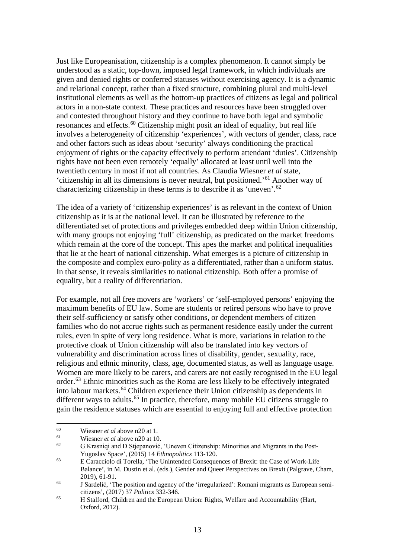Just like Europeanisation, citizenship is a complex phenomenon. It cannot simply be understood as a static, top-down, imposed legal framework, in which individuals are given and denied rights or conferred statuses without exercising agency. It is a dynamic and relational concept, rather than a fixed structure, combining plural and multi-level institutional elements as well as the bottom-up practices of citizens as legal and political actors in a non-state context. These practices and resources have been struggled over and contested throughout history and they continue to have both legal and symbolic resonances and effects.<sup>[60](#page-12-0)</sup> Citizenship might posit an ideal of equality, but real life involves a heterogeneity of citizenship 'experiences', with vectors of gender, class, race and other factors such as ideas about 'security' always conditioning the practical enjoyment of rights or the capacity effectively to perform attendant 'duties'. Citizenship rights have not been even remotely 'equally' allocated at least until well into the twentieth century in most if not all countries. As Claudia Wiesner *et al* state, 'citizenship in all its dimensions is never neutral, but positioned.'[61](#page-12-1) Another way of characterizing citizenship in these terms is to describe it as 'uneven'.[62](#page-12-2)

The idea of a variety of 'citizenship experiences' is as relevant in the context of Union citizenship as it is at the national level. It can be illustrated by reference to the differentiated set of protections and privileges embedded deep within Union citizenship, with many groups not enjoying 'full' citizenship, as predicated on the market freedoms which remain at the core of the concept. This apes the market and political inequalities that lie at the heart of national citizenship. What emerges is a picture of citizenship in the composite and complex euro-polity as a differentiated, rather than a uniform status. In that sense, it reveals similarities to national citizenship. Both offer a promise of equality, but a reality of differentiation.

For example, not all free movers are 'workers' or 'self-employed persons' enjoying the maximum benefits of EU law. Some are students or retired persons who have to prove their self-sufficiency or satisfy other conditions, or dependent members of citizen families who do not accrue rights such as permanent residence easily under the current rules, even in spite of very long residence. What is more, variations in relation to the protective cloak of Union citizenship will also be translated into key vectors of vulnerability and discrimination across lines of disability, gender, sexuality, race, religious and ethnic minority, class, age, documented status, as well as language usage. Women are more likely to be carers, and carers are not easily recognised in the EU legal order.<sup>[63](#page-12-3)</sup> Ethnic minorities such as the Roma are less likely to be effectively integrated into labour markets.[64](#page-12-4) Children experience their Union citizenship as dependents in different ways to adults.<sup>[65](#page-12-5)</sup> In practice, therefore, many mobile EU citizens struggle to gain the residence statuses which are essential to enjoying full and effective protection

<span id="page-12-6"></span><span id="page-12-0"></span> $^{60}$  Wiesner *et al* above [n20](#page-4-8) at 1.<br> $^{61}$  Wiesner *et al* above n<sup>20</sup> at 10

<span id="page-12-1"></span><sup>&</sup>lt;sup>61</sup> Wiesner *et al* above [n20](#page-4-8) at 10.<br>  $\frac{62}{2}$  C *V* manici and D Stiggaraviá

<span id="page-12-2"></span><sup>62</sup> G Krasniqi and D Stjepanović, 'Uneven Citizenship: Minorities and Migrants in the Post-Yugoslav Space', (2015) 14 *Ethnopolitics* 113-120.

<span id="page-12-3"></span><sup>63</sup> E Caracciolo di Torella, 'The Unintended Consequences of Brexit: the Case of Work-Life Balance', in M. Dustin et al. (eds.), Gender and Queer Perspectives on Brexit (Palgrave, Cham, 2019), 61-91.

<span id="page-12-4"></span><sup>&</sup>lt;sup>64</sup> J Sardelić, 'The position and agency of the 'irregularized': Romani migrants as European semicitizens', (2017) 37 *Politics* 332-346.

<span id="page-12-5"></span><sup>65</sup> H Stalford, Children and the European Union: Rights, Welfare and Accountability (Hart, Oxford, 2012).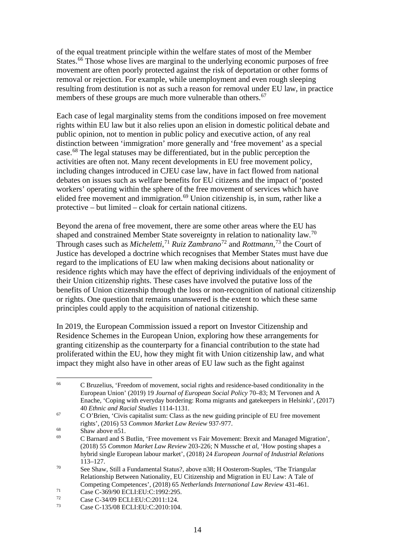<span id="page-13-8"></span>of the equal treatment principle within the welfare states of most of the Member States.<sup>[66](#page-13-0)</sup> Those whose lives are marginal to the underlying economic purposes of free movement are often poorly protected against the risk of deportation or other forms of removal or rejection. For example, while unemployment and even rough sleeping resulting from destitution is not as such a reason for removal under EU law, in practice members of these groups are much more vulnerable than others.<sup>[67](#page-13-1)</sup>

Each case of legal marginality stems from the conditions imposed on free movement rights within EU law but it also relies upon an elision in domestic political debate and public opinion, not to mention in public policy and executive action, of any real distinction between 'immigration' more generally and 'free movement' as a special case.<sup>[68](#page-13-2)</sup> The legal statuses may be differentiated, but in the public perception the activities are often not. Many recent developments in EU free movement policy, including changes introduced in CJEU case law, have in fact flowed from national debates on issues such as welfare benefits for EU citizens and the impact of 'posted workers' operating within the sphere of the free movement of services which have elided free movement and immigration.<sup>[69](#page-13-3)</sup> Union citizenship is, in sum, rather like a protective – but limited – cloak for certain national citizens.

Beyond the arena of free movement, there are some other areas where the EU has shaped and constrained Member State sovereignty in relation to nationality law.<sup>[70](#page-13-4)</sup> Through cases such as *Micheletti*, [71](#page-13-5) *Ruiz Zambrano*[72](#page-13-6) and *Rottmann*, [73](#page-13-7) the Court of Justice has developed a doctrine which recognises that Member States must have due regard to the implications of EU law when making decisions about nationality or residence rights which may have the effect of depriving individuals of the enjoyment of their Union citizenship rights. These cases have involved the putative loss of the benefits of Union citizenship through the loss or non-recognition of national citizenship or rights. One question that remains unanswered is the extent to which these same principles could apply to the acquisition of national citizenship.

In 2019, the European Commission issued a report on Investor Citizenship and Residence Schemes in the European Union, exploring how these arrangements for granting citizenship as the counterparty for a financial contribution to the state had proliferated within the EU, how they might fit with Union citizenship law, and what impact they might also have in other areas of EU law such as the fight against

<span id="page-13-0"></span> <sup>66</sup> C Bruzelius, 'Freedom of movement, social rights and residence-based conditionality in the European Union' (2019) 19 *Journal of European Social Policy* 70–83; M Tervonen and A Enache, 'Coping with everyday bordering: Roma migrants and gatekeepers in Helsinki', (2017) 40 *Ethnic and Racial Studies* 1114-1131.

<span id="page-13-1"></span><sup>67</sup> C O'Brien, 'Civis capitalist sum: Class as the new guiding principle of EU free movement rights', (2016) 53 *Common Market Law Review* 937-977.

<span id="page-13-2"></span> $68$  Shaw above [n51.](#page-10-8)

<span id="page-13-3"></span><sup>69</sup> C Barnard and S Butlin, 'Free movement vs Fair Movement: Brexit and Managed Migration', (2018) 55 *Common Market Law Review* 203-226; N Mussche *et al*, 'How posting shapes a hybrid single European labour market', (2018) 24 *European Journal of Industrial Relations* 113–127.

<span id="page-13-4"></span><sup>70</sup> See Shaw, Still a Fundamental Status?, above [n38;](#page-7-7) H Oosterom-Staples, 'The Triangular Relationship Between Nationality, EU Citizenship and Migration in EU Law: A Tale of Competing Competences', (2018) 65 *Netherlands International Law Review* 431-461.

<span id="page-13-5"></span> $^{71}$  Case C-369/90 ECLI:EU:C:1992:295.<br>  $^{72}$  Case C-34/09 ECLI:EU:C:2011:124

<span id="page-13-6"></span> $^{72}$  Case C-34/09 ECLI:EU:C:2011:124.<br>  $^{73}$  Case C 135/08 ECLI:EU:C:2010:104

<span id="page-13-7"></span>Case C-135/08 ECLI:EU:C:2010:104.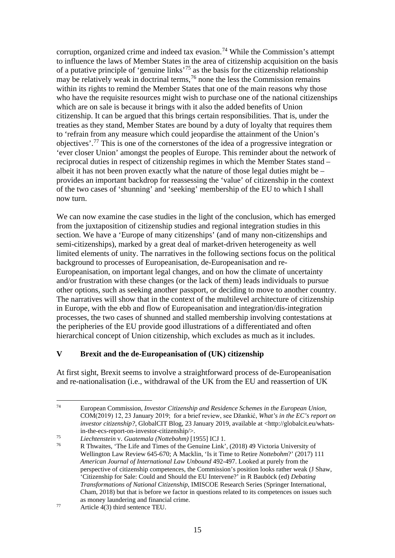corruption, organized crime and indeed tax evasion. [74](#page-14-0) While the Commission's attempt to influence the laws of Member States in the area of citizenship acquisition on the basis of a putative principle of 'genuine links'[75](#page-14-1) as the basis for the citizenship relationship may be relatively weak in doctrinal terms,  $\frac{76}{6}$  $\frac{76}{6}$  $\frac{76}{6}$  none the less the Commission remains within its rights to remind the Member States that one of the main reasons why those who have the requisite resources might wish to purchase one of the national citizenships which are on sale is because it brings with it also the added benefits of Union citizenship. It can be argued that this brings certain responsibilities. That is, under the treaties as they stand, Member States are bound by a duty of loyalty that requires them to 'refrain from any measure which could jeopardise the attainment of the Union's objectives'.[77](#page-14-3) This is one of the cornerstones of the idea of a progressive integration or 'ever closer Union' amongst the peoples of Europe. This reminder about the network of reciprocal duties in respect of citizenship regimes in which the Member States stand – albeit it has not been proven exactly what the nature of those legal duties might be – provides an important backdrop for reassessing the 'value' of citizenship in the context of the two cases of 'shunning' and 'seeking' membership of the EU to which I shall now turn.

We can now examine the case studies in the light of the conclusion, which has emerged from the juxtaposition of citizenship studies and regional integration studies in this section. We have a 'Europe of many citizenships' (and of many non-citizenships and semi-citizenships), marked by a great deal of market-driven heterogeneity as well limited elements of unity. The narratives in the following sections focus on the political background to processes of Europeanisation, de-Europeanisation and re-Europeanisation, on important legal changes, and on how the climate of uncertainty and/or frustration with these changes (or the lack of them) leads individuals to pursue other options, such as seeking another passport, or deciding to move to another country. The narratives will show that in the context of the multilevel architecture of citizenship in Europe, with the ebb and flow of Europeanisation and integration/dis-integration processes, the two cases of shunned and stalled membership involving contestations at the peripheries of the EU provide good illustrations of a differentiated and often hierarchical concept of Union citizenship, which excludes as much as it includes.

### **V Brexit and the de-Europeanisation of (UK) citizenship**

At first sight, Brexit seems to involve a straightforward process of de-Europeanisation and re-nationalisation (i.e., withdrawal of the UK from the EU and reassertion of UK

<span id="page-14-0"></span> <sup>74</sup> European Commission, *Investor Citizenship and Residence Schemes in the European Union*, COM(2019) 12, 23 January 2019; for a brief review, see Džankić, *What's in the EC's report on investor citizenship?*, GlobalCIT Blog, 23 January 2019, available at <http://globalcit.eu/whatsin-the-ecs-report-on-investor-citizenship/>.

<span id="page-14-1"></span><sup>75</sup> *Liechtenstein* v. *Guatemala (Nottebohm)* [1955] ICJ 1.

<span id="page-14-2"></span><sup>76</sup> R Thwaites, 'The Life and Times of the Genuine Link', (2018) 49 Victoria University of Wellington Law Review 645-670; A Macklin, 'Is it Time to Retire *Nottebohm*?' (2017) 111 *American Journal of International Law Unbound* 492-497. Looked at purely from the perspective of citizenship competences, the Commission's position looks rather weak (J Shaw, 'Citizenship for Sale: Could and Should the EU Intervene?' in R Bauböck (ed) *Debating Transformations of National Citizenship*, IMISCOE Research Series (Springer International, Cham, 2018) but that is before we factor in questions related to its competences on issues such as money laundering and financial crime.

<span id="page-14-3"></span> $77$  Article  $\cancel{4}(3)$  third sentence TEU.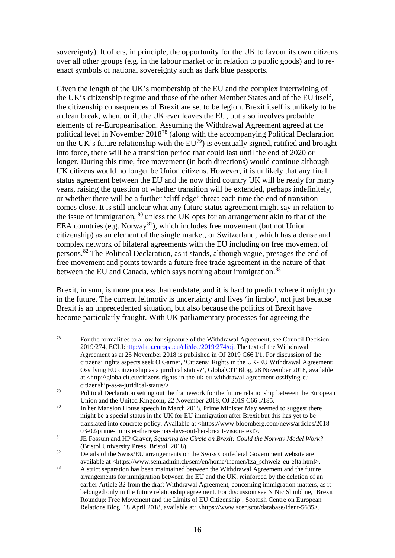<span id="page-15-6"></span>sovereignty). It offers, in principle, the opportunity for the UK to favour its own citizens over all other groups (e.g. in the labour market or in relation to public goods) and to reenact symbols of national sovereignty such as dark blue passports.

Given the length of the UK's membership of the EU and the complex intertwining of the UK's citizenship regime and those of the other Member States and of the EU itself, the citizenship consequences of Brexit are set to be legion. Brexit itself is unlikely to be a clean break, when, or if, the UK ever leaves the EU, but also involves probable elements of re-Europeanisation. Assuming the Withdrawal Agreement agreed at the political level in November 2018[78](#page-15-0) (along with the accompanying Political Declaration on the UK's future relationship with the  $\text{EU}^{79}$ ) is eventually signed, ratified and brought into force, there will be a transition period that could last until the end of 2020 or longer. During this time, free movement (in both directions) would continue although UK citizens would no longer be Union citizens. However, it is unlikely that any final status agreement between the EU and the now third country UK will be ready for many years, raising the question of whether transition will be extended, perhaps indefinitely, or whether there will be a further 'cliff edge' threat each time the end of transition comes close. It is still unclear what any future status agreement might say in relation to the issue of immigration, [80](#page-15-2) unless the UK opts for an arrangement akin to that of the EEA countries (e.g. Norway<sup>81</sup>), which includes free movement (but not Union citizenship) as an element of the single market, or Switzerland, which has a dense and complex network of bilateral agreements with the EU including on free movement of persons.<sup>[82](#page-15-4)</sup> The Political Declaration, as it stands, although vague, presages the end of free movement and points towards a future free trade agreement in the nature of that between the EU and Canada, which says nothing about immigration. <sup>[83](#page-15-5)</sup>

Brexit, in sum, is more process than endstate, and it is hard to predict where it might go in the future. The current leitmotiv is uncertainty and lives 'in limbo', not just because Brexit is an unprecedented situation, but also because the politics of Brexit have become particularly fraught. With UK parliamentary processes for agreeing the

<span id="page-15-0"></span> <sup>78</sup> For the formalities to allow for signature of the Withdrawal Agreement, see Council Decision 2019/274, ECLI[:http://data.europa.eu/eli/dec/2019/274/oj.](http://data.europa.eu/eli/dec/2019/274/oj) The text of the Withdrawal Agreement as at 25 November 2018 is published in OJ 2019 C66 I/1. For discussion of the citizens' rights aspects seek O Garner, 'Citizens' Rights in the UK-EU Withdrawal Agreement: Ossifying EU citizenship as a juridical status?', GlobalCIT Blog, 28 November 2018, available at <http://globalcit.eu/citizens-rights-in-the-uk-eu-withdrawal-agreement-ossifying-eucitizenship-as-a-juridical-status/>.

<span id="page-15-1"></span> $79$  Political Declaration setting out the framework for the future relationship between the European Union and the United Kingdom, 22 November 2018, OJ 2019 C66 I/185.

<span id="page-15-2"></span><sup>&</sup>lt;sup>80</sup> In her Mansion House speech in March 2018, Prime Minister May seemed to suggest there might be a special status in the UK for EU immigration after Brexit but this has yet to be translated into concrete policy. Available at <https://www.bloomberg.com/news/articles/2018- 03-02/prime-minister-theresa-may-lays-out-her-brexit-vision-text>.

<span id="page-15-3"></span><sup>81</sup> JE Fossum and HP Graver, *Squaring the Circle on Brexit: Could the Norway Model Work?* (Bristol University Press, Bristol, 2018).

<span id="page-15-4"></span><sup>&</sup>lt;sup>82</sup> Details of the Swiss/EU arrangements on the Swiss Confederal Government website are available at <https://www.sem.admin.ch/sem/en/home/themen/fza\_schweiz-eu-efta.html>.

<span id="page-15-5"></span><sup>83</sup> A strict separation has been maintained between the Withdrawal Agreement and the future arrangements for immigration between the EU and the UK, reinforced by the deletion of an earlier Article 32 from the draft Withdrawal Agreement, concerning immigration matters, as it belonged only in the future relationship agreement. For discussion see N Nic Shuibhne, 'Brexit Roundup: Free Movement and the Limits of EU Citizenship', Scottish Centre on European Relations Blog, 18 April 2018, available at: <https://www.scer.scot/database/ident-5635>.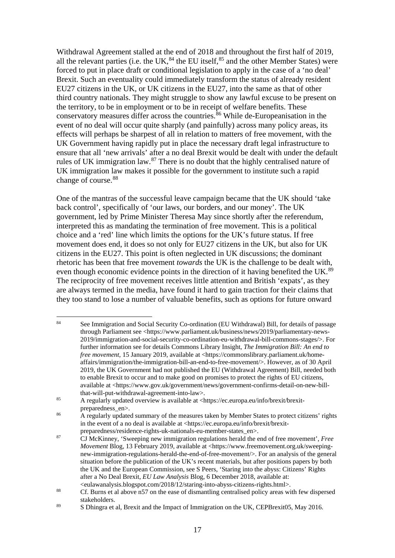<span id="page-16-6"></span>Withdrawal Agreement stalled at the end of 2018 and throughout the first half of 2019, all the relevant parties (i.e. the UK,  $84$  the EU itself,  $85$  and the other Member States) were forced to put in place draft or conditional legislation to apply in the case of a 'no deal' Brexit. Such an eventuality could immediately transform the status of already resident EU27 citizens in the UK, or UK citizens in the EU27, into the same as that of other third country nationals. They might struggle to show any lawful excuse to be present on the territory, to be in employment or to be in receipt of welfare benefits. These conservatory measures differ across the countries.<sup>[86](#page-16-2)</sup> While de-Europeanisation in the event of no deal will occur quite sharply (and painfully) across many policy areas, its effects will perhaps be sharpest of all in relation to matters of free movement, with the UK Government having rapidly put in place the necessary draft legal infrastructure to ensure that all 'new arrivals' after a no deal Brexit would be dealt with under the default rules of UK immigration law.<sup>[87](#page-16-3)</sup> There is no doubt that the highly centralised nature of UK immigration law makes it possible for the government to institute such a rapid change of course.<sup>[88](#page-16-4)</sup>

One of the mantras of the successful leave campaign became that the UK should 'take back control', specifically of 'our laws, our borders, and our money'. The UK government, led by Prime Minister Theresa May since shortly after the referendum, interpreted this as mandating the termination of free movement. This is a political choice and a 'red' line which limits the options for the UK's future status. If free movement does end, it does so not only for EU27 citizens in the UK, but also for UK citizens in the EU27. This point is often neglected in UK discussions; the dominant rhetoric has been that free movement *towards* the UK is the challenge to be dealt with, even though economic evidence points in the direction of it having benefited the UK.<sup>[89](#page-16-5)</sup> The reciprocity of free movement receives little attention and British 'expats', as they are always termed in the media, have found it hard to gain traction for their claims that they too stand to lose a number of valuable benefits, such as options for future onward

<span id="page-16-0"></span> <sup>84</sup> See Immigration and Social Security Co-ordination (EU Withdrawal) Bill, for details of passage through Parliament see <https://www.parliament.uk/business/news/2019/parliamentary-news-2019/immigration-and-social-security-co-ordination-eu-withdrawal-bill-commons-stages/>. For further information see for details Commons Library Insight, *The Immigration Bill: An end to free movement*, 15 January 2019, available at <https://commonslibrary.parliament.uk/homeaffairs/immigration/the-immigration-bill-an-end-to-free-movement/>. However, as of 30 April 2019, the UK Government had not published the EU (Withdrawal Agreement) Bill, needed both to enable Brexit to occur and to make good on promises to protect the rights of EU citizens, available at <https://www.gov.uk/government/news/government-confirms-detail-on-new-billthat-will-put-withdrawal-agreement-into-law>.

<span id="page-16-1"></span><sup>85</sup> A regularly updated overview is available at <https://ec.europa.eu/info/brexit/brexitpreparedness\_en>.

<span id="page-16-2"></span><sup>&</sup>lt;sup>86</sup> A regularly updated summary of the measures taken by Member States to protect citizens' rights in the event of a no deal is available at <https://ec.europa.eu/info/brexit/brexit-

<span id="page-16-3"></span>preparedness/residence-rights-uk-nationals-eu-member-states\_en>. 87 CJ McKinney, 'Sweeping new immigration regulations herald the end of free movement', *Free Movement* Blog, 13 February 2019, available at <https://www.freemovement.org.uk/sweepingnew-immigration-regulations-herald-the-end-of-free-movement/>. For an analysis of the general situation before the publication of the UK's recent materials, but after positions papers by both the UK and the European Commission, see S Peers, 'Staring into the abyss: Citizens' Rights after a No Deal Brexit, *EU Law Analysis* Blog, 6 December 2018, available at:

<span id="page-16-4"></span> $88$  Cf. Burns et al above [n57](#page-11-7) on the ease of dismantling centralised policy areas with few dispersed stakeholders.

<span id="page-16-5"></span><sup>89</sup> S Dhingra et al, Brexit and the Impact of Immigration on the UK, CEPBrexit05, May 2016.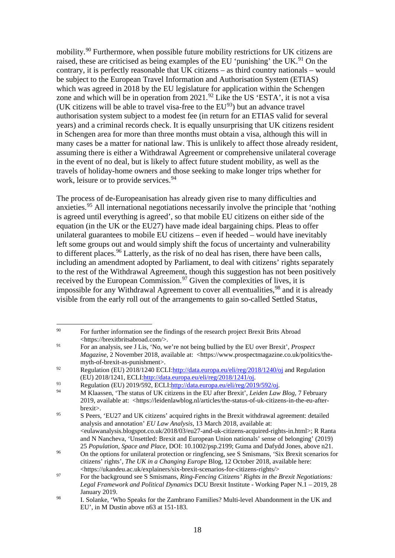<span id="page-17-9"></span>mobility.<sup>[90](#page-17-0)</sup> Furthermore, when possible future mobility restrictions for UK citizens are raised, these are criticised as being examples of the EU 'punishing' the UK.<sup>[91](#page-17-1)</sup> On the contrary, it is perfectly reasonable that UK citizens – as third country nationals – would be subject to the European Travel Information and Authorisation System (ETIAS) which was agreed in 2018 by the EU legislature for application within the Schengen zone and which will be in operation from  $2021.^{92}$  $2021.^{92}$  $2021.^{92}$  Like the US 'ESTA', it is not a visa (UK citizens will be able to travel visa-free to the  $EU^{93}$  $EU^{93}$  $EU^{93}$ ) but an advance travel authorisation system subject to a modest fee (in return for an ETIAS valid for several years) and a criminal records check. It is equally unsurprising that UK citizens resident in Schengen area for more than three months must obtain a visa, although this will in many cases be a matter for national law. This is unlikely to affect those already resident, assuming there is either a Withdrawal Agreement or comprehensive unilateral coverage in the event of no deal, but is likely to affect future student mobility, as well as the travels of holiday-home owners and those seeking to make longer trips whether for work, leisure or to provide services.<sup>[94](#page-17-4)</sup>

The process of de-Europeanisation has already given rise to many difficulties and anxieties. [95](#page-17-5) All international negotiations necessarily involve the principle that 'nothing is agreed until everything is agreed', so that mobile EU citizens on either side of the equation (in the UK or the EU27) have made ideal bargaining chips. Pleas to offer unilateral guarantees to mobile EU citizens – even if heeded – would have inevitably left some groups out and would simply shift the focus of uncertainty and vulnerability to different places.<sup>[96](#page-17-6)</sup> Latterly, as the risk of no deal has risen, there have been calls, including an amendment adopted by Parliament, to deal with citizens' rights separately to the rest of the Withdrawal Agreement, though this suggestion has not been positively received by the European Commission.<sup>[97](#page-17-7)</sup> Given the complexities of lives, it is impossible for any Withdrawal Agreement to cover all eventualities,<sup>[98](#page-17-8)</sup> and it is already visible from the early roll out of the arrangements to gain so-called Settled Status,

<span id="page-17-0"></span><sup>&</sup>lt;sup>90</sup> For further information see the findings of the research project Brexit Brits Abroad <https://brexitbritsabroad.com/>.

<span id="page-17-1"></span><sup>91</sup> For an analysis, see J Lis, 'No, we're not being bullied by the EU over Brexit', *Prospect Magazine*, 2 November 2018, available at: <https://www.prospectmagazine.co.uk/politics/themyth-of-brexit-as-punishment>.

<span id="page-17-2"></span><sup>&</sup>lt;sup>92</sup> Regulation (EU) 2018/1240 ECLI[:http://data.europa.eu/eli/reg/2018/1240/oj](http://data.europa.eu/eli/reg/2018/1240/oj) and Regulation (EU) 2018/1241, ECLI[:http://data.europa.eu/eli/reg/2018/1241/oj.](http://data.europa.eu/eli/reg/2018/1241/oj)

<span id="page-17-3"></span><sup>93</sup> Regulation (EU) 2019/592, ECLI[:http://data.europa.eu/eli/reg/2019/592/oj.](http://data.europa.eu/eli/reg/2019/592/oj)<br>194 M Kloossen, 'The status of UK sitizens in the EU offer Previt', Leiden Law

<span id="page-17-4"></span><sup>94</sup> M Klaassen, 'The status of UK citizens in the EU after Brexit', *Leiden Law Blog*, 7 February 2019, available at: <https://leidenlawblog.nl/articles/the-status-of-uk-citizens-in-the-eu-afterbrexit>.

<span id="page-17-5"></span><sup>&</sup>lt;sup>95</sup> S Peers, 'EU27 and UK citizens' acquired rights in the Brexit withdrawal agreement: detailed analysis and annotation' *EU Law Analysis*, 13 March 2018, available at: <eulawanalysis.blogspot.co.uk/2018/03/eu27-and-uk-citizens-acquired-rights-in.html>; R Ranta and N Nancheva, 'Unsettled: Brexit and European Union nationals' sense of belonging' (2019)

<span id="page-17-6"></span><sup>25</sup> *Population, Space and Place*, DOI: 10.1002/psp.2199; Guma and Dafydd Jones, above [n21.](#page-4-9) <sup>96</sup> On the options for unilateral protection or ringfencing, see S Smismans, 'Six Brexit scenarios for citizens' rights', *The UK in a Changing Europe* Blog, 12 October 2018, available here: <https://ukandeu.ac.uk/explainers/six-brexit-scenarios-for-citizens-rights/>

<span id="page-17-7"></span><sup>97</sup> For the background see S Smismans, *Ring-Fencing Citizens' Rights in the Brexit Negotiations: Legal Framework and Political Dynamics* DCU Brexit Institute - Working Paper N.1 – 2019, 28 January 2019.

<span id="page-17-8"></span><sup>98</sup> I. Solanke, 'Who Speaks for the Zambrano Families? Multi-level Abandonment in the UK and EU', in M Dustin above [n63](#page-12-6) at 151-183.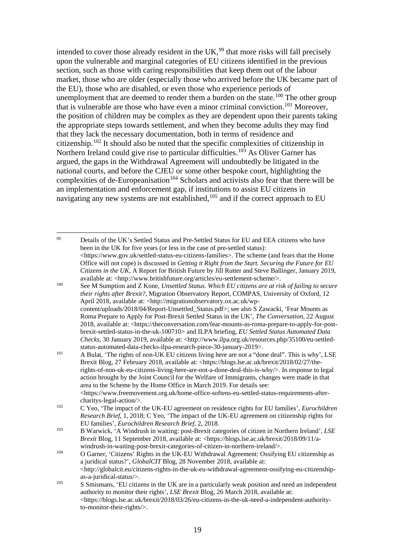<span id="page-18-7"></span>intended to cover those already resident in the UK,<sup>[99](#page-18-0)</sup> that more risks will fall precisely upon the vulnerable and marginal categories of EU citizens identified in the previous section, such as those with caring responsibilities that keep them out of the labour market, those who are older (especially those who arrived before the UK became part of the EU), those who are disabled, or even those who experience periods of unemployment that are deemed to render them a burden on the state.<sup>[100](#page-18-1)</sup> The other group that is vulnerable are those who have even a minor criminal conviction.<sup>[101](#page-18-2)</sup> Moreover, the position of children may be complex as they are dependent upon their parents taking the appropriate steps towards settlement, and when they become adults they may find that they lack the necessary documentation, both in terms of residence and citizenship.[102](#page-18-3) It should also be noted that the specific complexities of citizenship in Northern Ireland could give rise to particular difficulties.<sup>[103](#page-18-4)</sup> As Oliver Garner has argued, the gaps in the Withdrawal Agreement will undoubtedly be litigated in the national courts, and before the CJEU or some other bespoke court, highlighting the complexities of de-Europeanisation<sup>[104](#page-18-5)</sup> Scholars and activists also fear that there will be an implementation and enforcement gap, if institutions to assist EU citizens in navigating any new systems are not established,  $105$  and if the correct approach to EU

<span id="page-18-0"></span> <sup>99</sup> Details of the UK's Settled Status and Pre-Settled Status for EU and EEA citizens who have been in the UK for five years (or less in the case of pre-settled status): <https://www.gov.uk/settled-status-eu-citizens-families>. The scheme (and fears that the Home Office will not cope) is discussed in *Getting it Right from the Start. Securing the Future for EU Citizens in the UK*, A Report for British Future by Jill Rutter and Steve Ballinger, January 2019, available at: <http://www.britishfuture.org/articles/eu-settlement-scheme/>. <sup>100</sup> See M Sumption and Z Kone, *Unsettled Status. Which EU citizens are at risk of failing to secure* 

<span id="page-18-1"></span>*their rights after Brexit?*, Migration Observatory Report, COMPAS, University of Oxford, 12 April 2018, available at: <http://migrationobservatory.ox.ac.uk/wpcontent/uploads/2018/04/Report-Unsettled\_Status.pdf>; see also S Zawacki, 'Fear Mounts as Roma Prepare to Apply for Post-Brexit Settled Status in the UK', *The Conversation*, 22 August 2018, available at: <https://theconversation.com/fear-mounts-as-roma-prepare-to-apply-for-postbrexit-settled-status-in-the-uk-100710> and ILPA briefing, *EU Settled Status Automated Data Checks*, 30 January 2019, available at: <http://www.ilpa.org.uk/resources.php/35100/eu-settled-

<span id="page-18-2"></span>status-automated-data-checks-ilpa-research-piece-30-january-2019>.<br><sup>101</sup> A Bulat, 'The rights of non-UK EU citizens living here are not a "done deal". This is why', LSE Brexit Blog, 27 February 2018, available at: <https://blogs.lse.ac.uk/brexit/2018/02/27/therights-of-non-uk-eu-citizens-living-here-are-not-a-done-deal-this-is-why/>. In response to legal action brought by the Joint Council for the Welfare of Immigrants, changes were made in that area to the Scheme by the Home Office in March 2019. For details see: <https://www.freemovement.org.uk/home-office-softens-eu-settled-status-requirements-aftercharitys-legal-action/>.

<span id="page-18-3"></span><sup>102</sup> C Yeo, 'The impact of the UK-EU agreement on residence rights for EU families', *Eurochildren Research Brief*, 1, 2018; C Yeo, 'The impact of the UK-EU agreement on citizenship rights for EU families', *Eurochildren Research Brief*, 2, 2018.

<span id="page-18-4"></span><sup>103</sup> B Warwick, 'A Windrush in waiting: post-Brexit categories of citizen in Northern Ireland', *LSE Brexit* Blog, 11 September 2018, available at: <https://blogs.lse.ac.uk/brexit/2018/09/11/a-

<span id="page-18-5"></span>windrush-in-waiting-post-brexit-categories-of-citizen-in-northern-ireland/>.<br>
O Garner, 'Citizens' Rights in the UK-EU Withdrawal Agreement: Ossifying EU citizenship as a juridical status?', *GlobalCIT* Blog, 28 November 2018, available at:  $\langle$ http://globalcit.eu/citizens-rights-in-the-uk-eu-withdrawal-agreement-ossifying-eu-citizenshipas-a-juridical-status/>.

<span id="page-18-6"></span><sup>&</sup>lt;sup>105</sup> S Smismans, 'EU citizens in the UK are in a particularly weak position and need an independent authority to monitor their rights', *LSE Brexit* Blog, 26 March 2018, available at: <https://blogs.lse.ac.uk/brexit/2018/03/26/eu-citizens-in-the-uk-need-a-independent-authorityto-monitor-their-rights/>.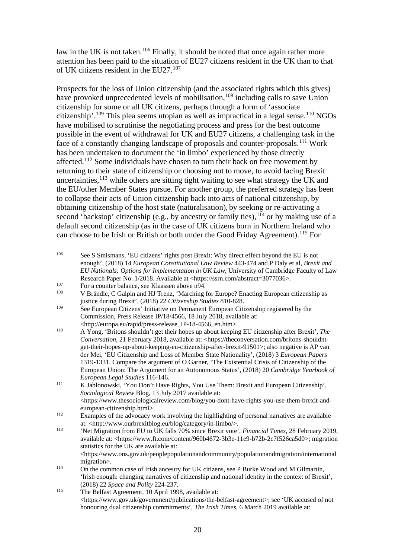<span id="page-19-10"></span>law in the UK is not taken.<sup>[106](#page-19-0)</sup> Finally, it should be noted that once again rather more attention has been paid to the situation of EU27 citizens resident in the UK than to that of UK citizens resident in the EU27.[107](#page-19-1)

Prospects for the loss of Union citizenship (and the associated rights which this gives) have provoked unprecedented levels of mobilisation, <sup>[108](#page-19-2)</sup> including calls to save Union citizenship for some or all UK citizens, perhaps through a form of 'associate citizenship'.<sup>[109](#page-19-3)</sup> This plea seems utopian as well as impractical in a legal sense.<sup>[110](#page-19-4)</sup> NGOs have mobilised to scrutinise the negotiating process and press for the best outcome possible in the event of withdrawal for UK and EU27 citizens, a challenging task in the face of a constantly changing landscape of proposals and counter-proposals.<sup>[111](#page-19-5)</sup> Work has been undertaken to document the 'in limbo' experienced by those directly affected.<sup>[112](#page-19-6)</sup> Some individuals have chosen to turn their back on free movement by returning to their state of citizenship or choosing not to move, to avoid facing Brexit uncertainties,  $^{113}$  $^{113}$  $^{113}$  while others are sitting tight waiting to see what strategy the UK and the EU/other Member States pursue. For another group, the preferred strategy has been to collapse their acts of Union citizenship back into acts of national citizenship, by obtaining citizenship of the host state (naturalisation), by seeking or re-activating a second 'backstop' citizenship (e.g., by ancestry or family ties),  $^{114}$  $^{114}$  $^{114}$  or by making use of a default second citizenship (as in the case of UK citizens born in Northern Ireland who can choose to be Irish or British or both under the Good Friday Agreement).<sup>[115](#page-19-9)</sup> For

107 For a counter balance, see Klaassen above [n94.](#page-16-6)

<span id="page-19-0"></span> <sup>106</sup> See S Smismans, 'EU citizens' rights post Brexit: Why direct effect beyond the EU is not enough', (2018) 14 *European Constitutional Law Review* 443-474 and P Daly et al, *Brexit and EU Nationals: Options for Implementation in UK Law*, University of Cambridge Faculty of Law Research Paper No. 1/2018. Available at <https://ssrn.com/abstract=3077036>.

<span id="page-19-2"></span><span id="page-19-1"></span><sup>108</sup> V Brändle, C Galpin and HJ Trenz, 'Marching for Europe? Enacting European citizenship as justice during Brexit', (2018) 22 *Citizenship Studies* 810-828.

<span id="page-19-3"></span><sup>&</sup>lt;sup>109</sup> See European Citizens' Initiative on Permanent European Citizenship registered by the Commission, Press Release IP/18/4566, 18 July 2018, available at: <http://europa.eu/rapid/press-release\_IP-18-4566\_en.htm>.

<span id="page-19-4"></span><sup>110</sup> A Yong, 'Britons shouldn't get their hopes up about keeping EU citizenship after Brexit', *The Conversation,* 21 February 2018, available at: <https://theconversation.com/britons-shouldntget-their-hopes-up-about-keeping-eu-citizenship-after-brexit-91501>; also negative is AP van der Mei, 'EU Citizenship and Loss of Member State Nationality', (2018) 3 *European Papers* 1319-1331. Compare the argument of O Garner, 'The Existential Crisis of Citizenship of the European Union: The Argument for an Autonomous Status', (2018) 20 *Cambridge Yearbook of European Legal Studies* 116-146.

<span id="page-19-5"></span><sup>111</sup> K Jablonowski, 'You Don't Have Rights, You Use Them: Brexit and European Citizenship', *Sociological Review* Blog, 13 July 2017 available at: <https://www.thesociologicalreview.com/blog/you-dont-have-rights-you-use-them-brexit-andeuropean-citizenship.html>.

<span id="page-19-6"></span><sup>&</sup>lt;sup>112</sup> Examples of the advocacy work involving the highlighting of personal narratives are available at: <http://www.ourbrexitblog.eu/blog/category/in-limbo/>.

<span id="page-19-7"></span><sup>113</sup> 'Net Migration from EU to UK falls 70% since Brexit vote', *Financial Times*, 28 February 2019, available at: <https://www.ft.com/content/960b4672-3b3e-11e9-b72b-2c7f526ca5d0>; migration statistics for the UK are available at:

<sup>&</sup>lt;https://www.ons.gov.uk/peoplepopulationandcommunity/populationandmigration/international migration>.

<span id="page-19-8"></span><sup>&</sup>lt;sup>114</sup> On the common case of Irish ancestry for UK citizens, see P Burke Wood and M Gilmartin, 'Irish enough: changing narratives of citizenship and national identity in the context of Brexit', (2018) 22 *Space and Polity* 224-237.

<span id="page-19-9"></span><sup>&</sup>lt;sup>115</sup> The Belfast Agreement, 10 April 1998, available at: <https://www.gov.uk/government/publications/the-belfast-agreement>; see 'UK accused of not honouring dual citizenship commitments', *The Irish Times*, 6 March 2019 available at: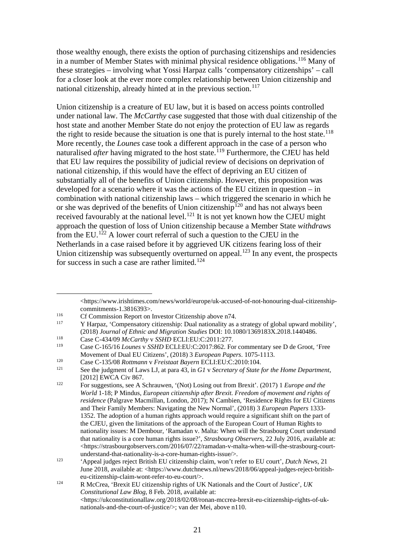those wealthy enough, there exists the option of purchasing citizenships and residencies in a number of Member States with minimal physical residence obligations.<sup>[116](#page-20-0)</sup> Many of these strategies – involving what Yossi Harpaz calls 'compensatory citizenships' – call for a closer look at the ever more complex relationship between Union citizenship and national citizenship, already hinted at in the previous section. [117](#page-20-1)

Union citizenship is a creature of EU law, but it is based on access points controlled under national law. The *McCarthy* case suggested that those with dual citizenship of the host state and another Member State do not enjoy the protection of EU law as regards the right to reside because the situation is one that is purely internal to the host state.<sup>[118](#page-20-2)</sup> More recently, the *Lounes* case took a different approach in the case of a person who naturalised *after* having migrated to the host state. [119](#page-20-3) Furthermore, the CJEU has held that EU law requires the possibility of judicial review of decisions on deprivation of national citizenship, if this would have the effect of depriving an EU citizen of substantially all of the benefits of Union citizenship. However, this proposition was developed for a scenario where it was the actions of the EU citizen in question – in combination with national citizenship laws – which triggered the scenario in which he or she was deprived of the benefits of Union citizenship<sup>[120](#page-20-4)</sup> and has not always been received favourably at the national level.<sup>[121](#page-20-5)</sup> It is not yet known how the CJEU might approach the question of loss of Union citizenship because a Member State *withdraws* from the EU.<sup>[122](#page-20-6)</sup> A lower court referral of such a question to the CJEU in the Netherlands in a case raised before it by aggrieved UK citizens fearing loss of their Union citizenship was subsequently overturned on appeal.<sup>[123](#page-20-7)</sup> In any event, the prospects for success in such a case are rather limited.[124](#page-20-8)

- <span id="page-20-0"></span><sup>116</sup> Cf Commission Report on Investor Citizenship above [n74.](#page-13-8)
- <span id="page-20-1"></span><sup>117</sup> Y Harpaz, 'Compensatory citizenship: Dual nationality as a strategy of global upward mobility', (2018) *Journal of Ethnic and Migration Studies* DOI: 10.1080/1369183X.2018.1440486.
- <span id="page-20-2"></span><sup>118</sup> Case C-434/09 *McCarthy* v *SSHD* ECLI:EU:C:2011:277.

 <sup>&</sup>lt;https://www.irishtimes.com/news/world/europe/uk-accused-of-not-honouring-dual-citizenshipcommitments-1.3816393>.

<span id="page-20-3"></span><sup>119</sup> Case C-165/16 *Lounes* v *SSHD* ECLI:EU:C:2017:862. For commentary see D de Groot, 'Free Movement of Dual EU Citizens', (2018) 3 *European Papers*. 1075-1113.

<span id="page-20-5"></span><span id="page-20-4"></span><sup>120</sup> Case C-135/08 *Rottmann* v *Freistaat Bayern* ECLI:EU:C:2010:104.

<sup>121</sup> See the judgment of Laws LJ, at para 43, in *G1* v *Secretary of State for the Home Department*, [2012] EWCA Civ 867.

<span id="page-20-6"></span><sup>122</sup> For suggestions, see A Schrauwen, '(Not) Losing out from Brexit'. (2017) 1 *Europe and the World* 1-18; P Mindus, *European citizenship after Brexit. Freedom of movement and rights of residence* (Palgrave Macmillan, London, 2017); N Cambien, 'Residence Rights for EU Citizens and Their Family Members: Navigating the New Normal', (2018) 3 *European Papers* 1333- 1352. The adoption of a human rights approach would require a significant shift on the part of the CJEU, given the limitations of the approach of the European Court of Human Rights to nationality issues: M Dembour, 'Ramadan v. Malta: When will the Strasbourg Court understand that nationality is a core human rights issue?', *Strasbourg Observers*, 22 July 2016, available at: <https://strasbourgobservers.com/2016/07/22/ramadan-v-malta-when-will-the-strasbourg-courtunderstand-that-nationality-is-a-core-human-rights-issue/>.

<span id="page-20-7"></span><sup>123</sup> 'Appeal judges reject British EU citizenship claim, won't refer to EU court', *Dutch News*, 21 June 2018, available at: <https://www.dutchnews.nl/news/2018/06/appeal-judges-reject-britisheu-citizenship-claim-wont-refer-to-eu-court/>.

<span id="page-20-8"></span><sup>124</sup> R McCrea, 'Brexit EU citizenship rights of UK Nationals and the Court of Justice', *UK Constitutional Law Blog*, 8 Feb. 2018, available at: <https://ukconstitutionallaw.org/2018/02/08/ronan-mccrea-brexit-eu-citizenship-rights-of-uknationals-and-the-court-of-justice/>; van der Mei, above [n110.](#page-18-7)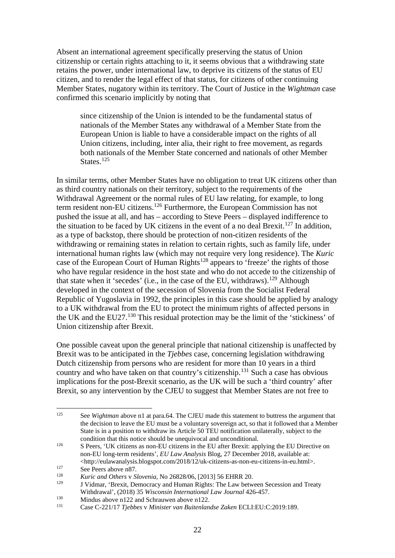Absent an international agreement specifically preserving the status of Union citizenship or certain rights attaching to it, it seems obvious that a withdrawing state retains the power, under international law, to deprive its citizens of the status of EU citizen, and to render the legal effect of that status, for citizens of other continuing Member States, nugatory within its territory. The Court of Justice in the *Wightman* case confirmed this scenario implicitly by noting that

since citizenship of the Union is intended to be the fundamental status of nationals of the Member States any withdrawal of a Member State from the European Union is liable to have a considerable impact on the rights of all Union citizens, including, inter alia, their right to free movement, as regards both nationals of the Member State concerned and nationals of other Member States.<sup>[125](#page-21-0)</sup>

In similar terms, other Member States have no obligation to treat UK citizens other than as third country nationals on their territory, subject to the requirements of the Withdrawal Agreement or the normal rules of EU law relating, for example, to long term resident non-EU citizens. [126](#page-21-1) Furthermore, the European Commission has not pushed the issue at all, and has – according to Steve Peers – displayed indifference to the situation to be faced by UK citizens in the event of a no deal Brexit.<sup>[127](#page-21-2)</sup> In addition, as a type of backstop, there should be protection of non-citizen residents of the withdrawing or remaining states in relation to certain rights, such as family life, under international human rights law (which may not require very long residence). The *Kuric* case of the European Court of Human Rights<sup>[128](#page-21-3)</sup> appears to 'freeze' the rights of those who have regular residence in the host state and who do not accede to the citizenship of that state when it 'secedes' (i.e., in the case of the EU, withdraws).<sup>[129](#page-21-4)</sup> Although developed in the context of the secession of Slovenia from the Socialist Federal Republic of Yugoslavia in 1992, the principles in this case should be applied by analogy to a UK withdrawal from the EU to protect the minimum rights of affected persons in the UK and the  $EU27<sup>130</sup>$  $EU27<sup>130</sup>$  $EU27<sup>130</sup>$  This residual protection may be the limit of the 'stickiness' of Union citizenship after Brexit.

One possible caveat upon the general principle that national citizenship is unaffected by Brexit was to be anticipated in the *Tjebbes* case, concerning legislation withdrawing Dutch citizenship from persons who are resident for more than 10 years in a third country and who have taken on that country's citizenship.[131](#page-21-6) Such a case has obvious implications for the post-Brexit scenario, as the UK will be such a 'third country' after Brexit, so any intervention by the CJEU to suggest that Member States are not free to

<span id="page-21-0"></span><sup>&</sup>lt;sup>125</sup> See *Wightman* above [n1](#page-1-5) at para.64. The CJEU made this statement to buttress the argument that the decision to leave the EU must be a voluntary sovereign act, so that it followed that a Member State is in a position to withdraw its Article 50 TEU notification unilaterally, subject to the condition that this notice should be unequivocal and unconditional.

<span id="page-21-1"></span> $126$  S Peers, 'UK citizens as non-EU citizens in the EU after Brexit: applying the EU Directive on non-EU long-term residents', *EU Law Analysis* Blog, 27 December 2018, available at: <http://eulawanalysis.blogspot.com/2018/12/uk-citizens-as-non-eu-citizens-in-eu.html>.

<span id="page-21-2"></span><sup>&</sup>lt;sup>127</sup> See Peers above [n87.](#page-15-6)

<span id="page-21-3"></span><sup>128</sup> *Kuric and Others* v *Slovenia*, No 26828/06, [2013] 56 EHRR 20.

<span id="page-21-4"></span>J Vidmar, 'Brexit, Democracy and Human Rights: The Law between Secession and Treaty Withdrawal', (2018) 35 *Wisconsin International Law Journal* 426-457.

<span id="page-21-5"></span><sup>&</sup>lt;sup>130</sup> Mindus above [n122](#page-19-10) and Schrauwen above [n122.](#page-19-10)<br>  $\frac{131}{2}$  Case C 221/17 Tigbbes y Minister van Buitenlan

<span id="page-21-6"></span><sup>131</sup> Case C-221/17 *Tjebbes* v *Minister van Buitenlandse Zaken* ECLI:EU:C:2019:189.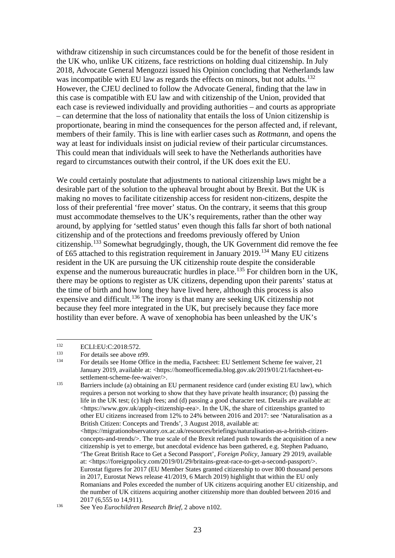withdraw citizenship in such circumstances could be for the benefit of those resident in the UK who, unlike UK citizens, face restrictions on holding dual citizenship. In July 2018, Advocate General Mengozzi issued his Opinion concluding that Netherlands law was incompatible with EU law as regards the effects on minors, but not adults.<sup>[132](#page-22-0)</sup> However, the CJEU declined to follow the Advocate General, finding that the law in this case is compatible with EU law and with citizenship of the Union, provided that each case is reviewed individually and providing authorities – and courts as appropriate – can determine that the loss of nationality that entails the loss of Union citizenship is proportionate, bearing in mind the consequences for the person affected and, if relevant, members of their family. This is line with earlier cases such as *Rottmann*, and opens the way at least for individuals insist on judicial review of their particular circumstances. This could mean that individuals will seek to have the Netherlands authorities have regard to circumstances outwith their control, if the UK does exit the EU.

We could certainly postulate that adjustments to national citizenship laws might be a desirable part of the solution to the upheaval brought about by Brexit. But the UK is making no moves to facilitate citizenship access for resident non-citizens, despite the loss of their preferential 'free mover' status. On the contrary, it seems that this group must accommodate themselves to the UK's requirements, rather than the other way around, by applying for 'settled status' even though this falls far short of both national citizenship and of the protections and freedoms previously offered by Union citizenship. [133](#page-22-1) Somewhat begrudgingly, though, the UK Government did remove the fee of £65 attached to this registration requirement in January 2019.<sup>[134](#page-22-2)</sup> Many EU citizens resident in the UK are pursuing the UK citizenship route despite the considerable expense and the numerous bureaucratic hurdles in place.<sup>[135](#page-22-3)</sup> For children born in the UK, there may be options to register as UK citizens, depending upon their parents' status at the time of birth and how long they have lived here, although this process is also expensive and difficult.<sup>[136](#page-22-4)</sup> The irony is that many are seeking UK citizenship not because they feel more integrated in the UK, but precisely because they face more hostility than ever before. A wave of xenophobia has been unleashed by the UK's

<span id="page-22-0"></span> $\begin{array}{r}\n 132 \text{ ECLI:EU:C:} \text{2018:}572.\n \end{array}$ 

<span id="page-22-2"></span><span id="page-22-1"></span>

 $133$  For details see above [n99.](#page-17-9)<br>  $134$  For details see Home Office in the media, Factsheet: EU Settlement Scheme fee waiver, 21 January 2019, available at: <https://homeofficemedia.blog.gov.uk/2019/01/21/factsheet-eusettlement-scheme-fee-waiver/>.

<span id="page-22-3"></span><sup>135</sup> Barriers include (a) obtaining an EU permanent residence card (under existing EU law), which requires a person not working to show that they have private health insurance; (b) passing the life in the UK test; (c) high fees; and (d) passing a good character test. Details are available at: <https://www.gov.uk/apply-citizenship-eea>. In the UK, the share of citizenships granted to other EU citizens increased from 12% to 24% between 2016 and 2017: see 'Naturalisation as a British Citizen: Concepts and Trends', 3 August 2018, available at: <https://migrationobservatory.ox.ac.uk/resources/briefings/naturalisation-as-a-british-citizen-

concepts-and-trends/>. The true scale of the Brexit related push towards the acquisition of a new citizenship is yet to emerge, but anecdotal evidence has been gathered, e.g. Stephen Paduano, 'The Great British Race to Get a Second Passport', *Foreign Policy*, January 29 2019, available at: <https://foreignpolicy.com/2019/01/29/britains-great-race-to-get-a-second-passport/>. Eurostat figures for 2017 (EU Member States granted citizenship to over 800 thousand persons in 2017, Eurostat News release 41/2019, 6 March 2019) highlight that within the EU only Romanians and Poles exceeded the number of UK citizens acquiring another EU citizenship, and the number of UK citizens acquiring another citizenship more than doubled between 2016 and 2017 (6,555 to 14,911).

<span id="page-22-4"></span><sup>136</sup> See Yeo *Eurochildren Research Brief*, 2 above [n102.](#page-17-9)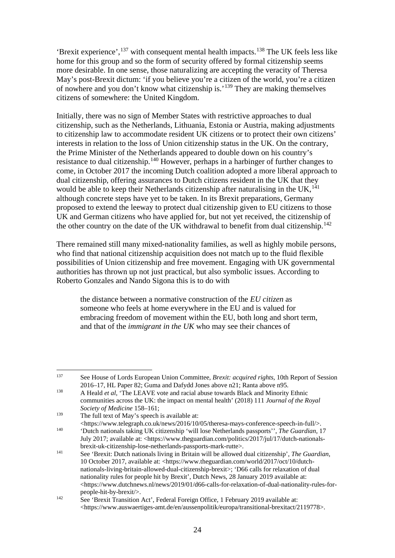'Brexit experience', <sup>[137](#page-23-0)</sup> with consequent mental health impacts.<sup>[138](#page-23-1)</sup> The UK feels less like home for this group and so the form of security offered by formal citizenship seems more desirable. In one sense, those naturalizing are accepting the veracity of Theresa May's post-Brexit dictum: 'if you believe you're a citizen of the world, you're a citizen of nowhere and you don't know what citizenship is.'[139](#page-23-2) They are making themselves citizens of somewhere: the United Kingdom.

Initially, there was no sign of Member States with restrictive approaches to dual citizenship, such as the Netherlands, Lithuania, Estonia or Austria, making adjustments to citizenship law to accommodate resident UK citizens or to protect their own citizens' interests in relation to the loss of Union citizenship status in the UK. On the contrary, the Prime Minister of the Netherlands appeared to double down on his country's resistance to dual citizenship.[140](#page-23-3) However, perhaps in a harbinger of further changes to come, in October 2017 the incoming Dutch coalition adopted a more liberal approach to dual citizenship, offering assurances to Dutch citizens resident in the UK that they would be able to keep their Netherlands citizenship after naturalising in the UK,<sup>[141](#page-23-4)</sup> although concrete steps have yet to be taken. In its Brexit preparations, Germany proposed to extend the leeway to protect dual citizenship given to EU citizens to those UK and German citizens who have applied for, but not yet received, the citizenship of the other country on the date of the UK withdrawal to benefit from dual citizenship.<sup>[142](#page-23-5)</sup>

There remained still many mixed-nationality families, as well as highly mobile persons, who find that national citizenship acquisition does not match up to the fluid flexible possibilities of Union citizenship and free movement. Engaging with UK governmental authorities has thrown up not just practical, but also symbolic issues. According to Roberto Gonzales and Nando Sigona this is to do with

the distance between a normative construction of the *EU citizen* as someone who feels at home everywhere in the EU and is valued for embracing freedom of movement within the EU, both long and short term, and that of the *immigrant in the UK* who may see their chances of

<span id="page-23-0"></span> <sup>137</sup> See House of Lords European Union Committee, *Brexit: acquired rights*, 10th Report of Session 2016–17, HL Paper 82; Guma and Dafydd Jones above [n21;](#page-4-9) Ranta above [n95.](#page-16-6)

<span id="page-23-1"></span><sup>138</sup> A Heald *et al*, 'The LEAVE vote and racial abuse towards Black and Minority Ethnic communities across the UK: the impact on mental health' (2018) 111 *Journal of the Royal Society of Medicine* 158–161;

<span id="page-23-3"></span><span id="page-23-2"></span><sup>139</sup> The full text of May's speech is available at:<br>
<https://www.telegraph.co.uk/news/2016/10/05/theresa-mays-conference-speech-in-full/>. <sup>140</sup> 'Dutch nationals taking UK citizenship 'will lose Netherlands passports'', *The Guardian*, 17 July 2017; available at: <https://www.theguardian.com/politics/2017/jul/17/dutch-nationalsbrexit-uk-citizenship-lose-netherlands-passports-mark-rutte>.

<span id="page-23-4"></span><sup>141</sup> See 'Brexit: Dutch nationals living in Britain will be allowed dual citizenship', *The Guardian*, 10 October 2017, available at: <https://www.theguardian.com/world/2017/oct/10/dutchnationals-living-britain-allowed-dual-citizenship-brexit>; 'D66 calls for relaxation of dual nationality rules for people hit by Brexit', Dutch News, 28 January 2019 available at:  $\langle$ https://www.dutchnews.nl/news/2019/01/d66-calls-for-relaxation-of-dual-nationality-rules-forpeople-hit-by-brexit/>.<br><sup>142</sup> See 'Brexit Transition Act', Federal Foreign Office, 1 February 2019 available at:

<span id="page-23-5"></span><sup>&</sup>lt;https://www.auswaertiges-amt.de/en/aussenpolitik/europa/transitional-brexitact/2119778>.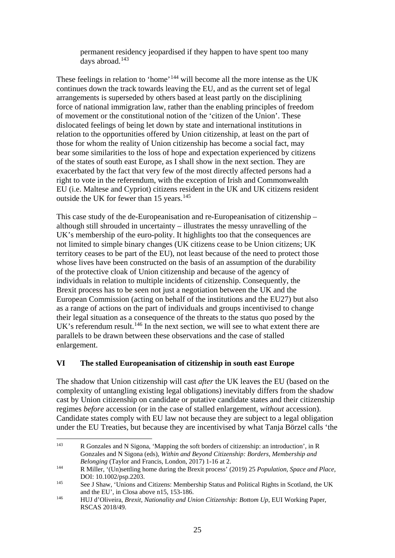permanent residency jeopardised if they happen to have spent too many days abroad.<sup>[143](#page-24-0)</sup>

These feelings in relation to 'home'<sup>[144](#page-24-1)</sup> will become all the more intense as the UK continues down the track towards leaving the EU, and as the current set of legal arrangements is superseded by others based at least partly on the disciplining force of national immigration law, rather than the enabling principles of freedom of movement or the constitutional notion of the 'citizen of the Union'. These dislocated feelings of being let down by state and international institutions in relation to the opportunities offered by Union citizenship, at least on the part of those for whom the reality of Union citizenship has become a social fact, may bear some similarities to the loss of hope and expectation experienced by citizens of the states of south east Europe, as I shall show in the next section. They are exacerbated by the fact that very few of the most directly affected persons had a right to vote in the referendum, with the exception of Irish and Commonwealth EU (i.e. Maltese and Cypriot) citizens resident in the UK and UK citizens resident outside the UK for fewer than 15 years. $145$ 

This case study of the de-Europeanisation and re-Europeanisation of citizenship – although still shrouded in uncertainty – illustrates the messy unravelling of the UK's membership of the euro-polity. It highlights too that the consequences are not limited to simple binary changes (UK citizens cease to be Union citizens; UK territory ceases to be part of the EU), not least because of the need to protect those whose lives have been constructed on the basis of an assumption of the durability of the protective cloak of Union citizenship and because of the agency of individuals in relation to multiple incidents of citizenship. Consequently, the Brexit process has to be seen not just a negotiation between the UK and the European Commission (acting on behalf of the institutions and the EU27) but also as a range of actions on the part of individuals and groups incentivised to change their legal situation as a consequence of the threats to the status quo posed by the UK's referendum result.<sup>[146](#page-24-3)</sup> In the next section, we will see to what extent there are parallels to be drawn between these observations and the case of stalled enlargement.

### **VI The stalled Europeanisation of citizenship in south east Europe**

The shadow that Union citizenship will cast *after* the UK leaves the EU (based on the complexity of untangling existing legal obligations) inevitably differs from the shadow cast by Union citizenship on candidate or putative candidate states and their citizenship regimes *before* accession (or in the case of stalled enlargement, *without* accession). Candidate states comply with EU law not because they are subject to a legal obligation under the EU Treaties, but because they are incentivised by what Tanja Börzel calls 'the

<span id="page-24-0"></span><sup>&</sup>lt;sup>143</sup> R Gonzales and N Sigona, 'Mapping the soft borders of citizenship: an introduction', in R Gonzales and N Sigona (eds), *Within and Beyond Citizenship: Borders, Membership and Belonging* (Taylor and Francis, London, 2017) 1-16 at 2.

<span id="page-24-1"></span><sup>144</sup> R Miller, '(Un)settling home during the Brexit process' (2019) 25 *Population, Space and Place*, DOI: 10.1002/psp.2203.

<span id="page-24-2"></span><sup>&</sup>lt;sup>145</sup> See J Shaw, 'Unions and Citizens: Membership Status and Political Rights in Scotland, the UK and the EU', in Closa above [n15,](#page-3-7) 153-186.

<span id="page-24-3"></span><sup>146</sup> HUJ d'Oliveira, *Brexit, Nationality and Union Citizenship: Bottom Up*, EUI Working Paper, RSCAS 2018/49.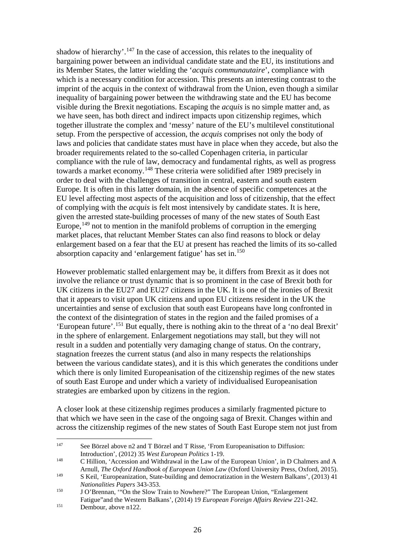<span id="page-25-5"></span>shadow of hierarchy'.<sup>[147](#page-25-0)</sup> In the case of accession, this relates to the inequality of bargaining power between an individual candidate state and the EU, its institutions and its Member States, the latter wielding the '*acquis communautaire*', compliance with which is a necessary condition for accession. This presents an interesting contrast to the imprint of the acquis in the context of withdrawal from the Union, even though a similar inequality of bargaining power between the withdrawing state and the EU has become visible during the Brexit negotiations. Escaping the *acquis* is no simple matter and, as we have seen, has both direct and indirect impacts upon citizenship regimes, which together illustrate the complex and 'messy' nature of the EU's multilevel constitutional setup. From the perspective of accession, the *acquis* comprises not only the body of laws and policies that candidate states must have in place when they accede, but also the broader requirements related to the so-called Copenhagen criteria, in particular compliance with the rule of law, democracy and fundamental rights, as well as progress towards a market economy.<sup>[148](#page-25-1)</sup> These criteria were solidified after 1989 precisely in order to deal with the challenges of transition in central, eastern and south eastern Europe. It is often in this latter domain, in the absence of specific competences at the EU level affecting most aspects of the acquisition and loss of citizenship, that the effect of complying with the *acquis* is felt most intensively by candidate states. It is here, given the arrested state-building processes of many of the new states of South East Europe,<sup>[149](#page-25-2)</sup> not to mention in the manifold problems of corruption in the emerging market places, that reluctant Member States can also find reasons to block or delay enlargement based on a fear that the EU at present has reached the limits of its so-called absorption capacity and 'enlargement fatigue' has set in.<sup>[150](#page-25-3)</sup>

However problematic stalled enlargement may be, it differs from Brexit as it does not involve the reliance or trust dynamic that is so prominent in the case of Brexit both for UK citizens in the EU27 and EU27 citizens in the UK. It is one of the ironies of Brexit that it appears to visit upon UK citizens and upon EU citizens resident in the UK the uncertainties and sense of exclusion that south east Europeans have long confronted in the context of the disintegration of states in the region and the failed promises of a 'European future'. [151](#page-25-4) But equally, there is nothing akin to the threat of a 'no deal Brexit' in the sphere of enlargement. Enlargement negotiations may stall, but they will not result in a sudden and potentially very damaging change of status. On the contrary, stagnation freezes the current status (and also in many respects the relationships between the various candidate states), and it is this which generates the conditions under which there is only limited Europeanisation of the citizenship regimes of the new states of south East Europe and under which a variety of individualised Europeanisation strategies are embarked upon by citizens in the region.

A closer look at these citizenship regimes produces a similarly fragmented picture to that which we have seen in the case of the ongoing saga of Brexit. Changes within and across the citizenship regimes of the new states of South East Europe stem not just from

<span id="page-25-0"></span> <sup>147</sup> See Börzel above [n2](#page-1-6) and T Börzel and T Risse, 'From Europeanisation to Diffusion: Introduction', (2012) 35 *West European Politics* 1-19.

<span id="page-25-1"></span><sup>&</sup>lt;sup>148</sup> C Hillion, 'Accession and Withdrawal in the Law of the European Union', in D Chalmers and A Arnull, *The Oxford Handbook of European Union Law* (Oxford University Press, Oxford, 2015). <sup>149</sup> S Keil, 'Europeanization, State-building and democratization in the Western Balkans', (2013) 41

<span id="page-25-2"></span>*Nationalities Papers* 343-353. <sup>150</sup> J O'Brennan, "On the Slow Train to Nowhere?" The European Union, "Enlargement

<span id="page-25-3"></span>Fatigue"and the Western Balkans', (2014) 19 *European Foreign Affairs Review 2*21-242.

<span id="page-25-4"></span><sup>&</sup>lt;sup>151</sup> Dembour, above [n122.](#page-19-10)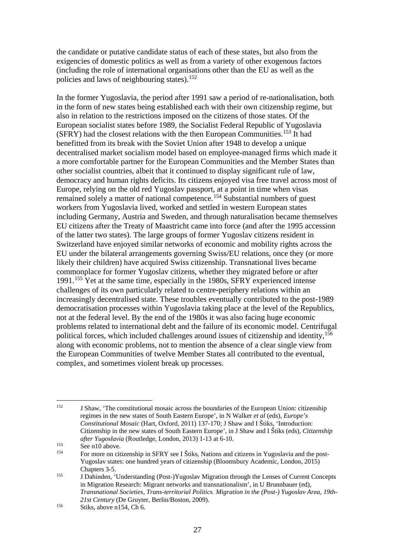<span id="page-26-6"></span>the candidate or putative candidate status of each of these states, but also from the exigencies of domestic politics as well as from a variety of other exogenous factors (including the role of international organisations other than the EU as well as the policies and laws of neighbouring states).[152](#page-26-1)

<span id="page-26-0"></span>In the former Yugoslavia, the period after 1991 saw a period of re-nationalisation, both in the form of new states being established each with their own citizenship regime, but also in relation to the restrictions imposed on the citizens of those states. Of the European socialist states before 1989, the Socialist Federal Republic of Yugoslavia (SFRY) had the closest relations with the then European Communities. [153](#page-26-2) It had benefitted from its break with the Soviet Union after 1948 to develop a unique decentralised market socialism model based on employee-managed firms which made it a more comfortable partner for the European Communities and the Member States than other socialist countries, albeit that it continued to display significant rule of law, democracy and human rights deficits. Its citizens enjoyed visa free travel across most of Europe, relying on the old red Yugoslav passport, at a point in time when visas remained solely a matter of national competence.<sup>[154](#page-26-3)</sup> Substantial numbers of guest workers from Yugoslavia lived, worked and settled in western European states including Germany, Austria and Sweden, and through naturalisation became themselves EU citizens after the Treaty of Maastricht came into force (and after the 1995 accession of the latter two states). The large groups of former Yugoslav citizens resident in Switzerland have enjoyed similar networks of economic and mobility rights across the EU under the bilateral arrangements governing Swiss/EU relations, once they (or more likely their children) have acquired Swiss citizenship. Transnational lives became commonplace for former Yugoslav citizens, whether they migrated before or after 1991.[155](#page-26-4) Yet at the same time, especially in the 1980s, SFRY experienced intense challenges of its own particularly related to centre-periphery relations within an increasingly decentralised state. These troubles eventually contributed to the post-1989 democratisation processes within Yugoslavia taking place at the level of the Republics, not at the federal level. By the end of the 1980s it was also facing huge economic problems related to international debt and the failure of its economic model. Centrifugal political forces, which included challenges around issues of citizenship and identity, <sup>[156](#page-26-5)</sup> along with economic problems, not to mention the absence of a clear single view from the European Communities of twelve Member States all contributed to the eventual, complex, and sometimes violent break up processes.

<span id="page-26-1"></span><sup>&</sup>lt;sup>152</sup> J Shaw, 'The constitutional mosaic across the boundaries of the European Union: citizenship regimes in the new states of South Eastern Europe', in N Walker *et al* (eds), *Europe's Constitutional Mosaic* (Hart, Oxford, 2011) 137-170; J Shaw and I Štiks, 'Introduction: Citizenship in the new states of South Eastern Europe', in J Shaw and I Štiks (eds), *Citizenship after Yugoslavia* (Routledge, London, 2013) 1-13 at 6-10.

<span id="page-26-2"></span> $\frac{153}{154}$  See [n10](#page-3-8) above.

<span id="page-26-3"></span><sup>154</sup> For more on citizenship in SFRY see I Štiks, Nations and citizens in Yugoslavia and the post-Yugoslav states: one hundred years of citizenship (Bloomsbury Academic, London, 2015) Chapters 3-5.

<span id="page-26-4"></span><sup>&</sup>lt;sup>155</sup> J Dahinden, 'Understanding (Post-)Yugoslav Migration through the Lenses of Current Concepts in Migration Research: Migrant networks and transnationalism', in U Brunnbauer (ed), *Transnational Societies, Trans-territorial Politics. Migration in the (Post-) Yugoslav Area, 19th-*<sup>21st</sup> *21st Century* (De Gruyter, Berlin/Boston, 2009).<br><sup>156</sup> Stiks, above [n154,](#page-26-0) Ch 6.

<span id="page-26-5"></span>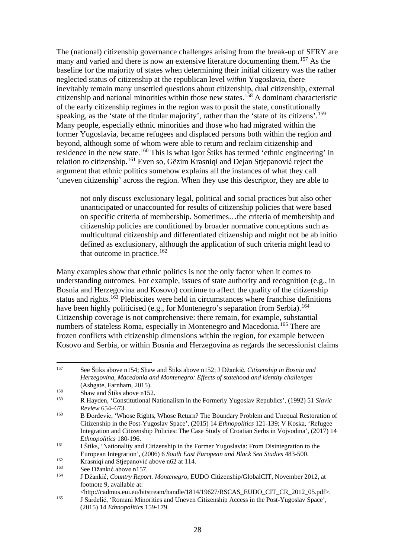<span id="page-27-9"></span>The (national) citizenship governance challenges arising from the break-up of SFRY are many and varied and there is now an extensive literature documenting them.<sup>[157](#page-27-0)</sup> As the baseline for the majority of states when determining their initial citizenry was the rather neglected status of citizenship at the republican level *within* Yugoslavia, there inevitably remain many unsettled questions about citizenship, dual citizenship, external citizenship and national minorities within those new states. [158](#page-27-1) A dominant characteristic of the early citizenship regimes in the region was to posit the state, constitutionally speaking, as the 'state of the titular majority', rather than the 'state of its citizens'.<sup>[159](#page-27-2)</sup> Many people, especially ethnic minorities and those who had migrated within the former Yugoslavia, became refugees and displaced persons both within the region and beyond, although some of whom were able to return and reclaim citizenship and residence in the new state.<sup>[160](#page-27-3)</sup> This is what Igor Štiks has termed 'ethnic engineering' in relation to citizenship.<sup>[161](#page-27-4)</sup> Even so, Gëzim Krasniqi and Dejan Stjepanović reject the argument that ethnic politics somehow explains all the instances of what they call 'uneven citizenship' across the region. When they use this descriptor, they are able to

not only discuss exclusionary legal, political and social practices but also other unanticipated or unaccounted for results of citizenship policies that were based on specific criteria of membership. Sometimes…the criteria of membership and citizenship policies are conditioned by broader normative conceptions such as multicultural citizenship and differentiated citizenship and might not be ab initio defined as exclusionary, although the application of such criteria might lead to that outcome in practice.<sup>[162](#page-27-5)</sup>

Many examples show that ethnic politics is not the only factor when it comes to understanding outcomes. For example, issues of state authority and recognition (e.g., in Bosnia and Herzegovina and Kosovo) continue to affect the quality of the citizenship status and rights.<sup>[163](#page-27-6)</sup> Plebiscites were held in circumstances where franchise definitions have been highly politicised (e.g., for Montenegro's separation from Serbia).<sup>[164](#page-27-7)</sup> Citizenship coverage is not comprehensive: there remain, for example, substantial numbers of stateless Roma, especially in Montenegro and Macedonia.<sup>[165](#page-27-8)</sup> There are frozen conflicts with citizenship dimensions within the region, for example between Kosovo and Serbia, or within Bosnia and Herzegovina as regards the secessionist claims

<span id="page-27-0"></span> <sup>157</sup> See Štiks above [n154;](#page-26-0) Shaw and Štiks above [n152;](#page-25-5) J Džankić, *Citizenship in Bosnia and Herzegovina, Macedonia and Montenegro: Effects of statehood and identity challenges* (Ashgate, Farnham, 2015).

<span id="page-27-1"></span><sup>&</sup>lt;sup>158</sup> Shaw and Štiks above [n152.](#page-25-5)<br> $\frac{159}{P \text{ Hoveden}}$  Constitutional N

<span id="page-27-2"></span><sup>159</sup> R Hayden, 'Constitutional Nationalism in the Formerly Yugoslav Republics', (1992) 51 *Slavic Review* 654–673.

<span id="page-27-3"></span><sup>&</sup>lt;sup>160</sup> B Đorđevic, 'Whose Rights, Whose Return? The Boundary Problem and Unequal Restoration of Citizenship in the Post-Yugoslav Space', (2015) 14 *Ethnopolitics* 121-139; V Koska, 'Refugee Integration and Citizenship Policies: The Case Study of Croatian Serbs in Vojvodina', (2017) 14 *Ethnopolitics* 180-196.

<span id="page-27-4"></span><sup>&</sup>lt;sup>161</sup> I Štiks, 'Nationality and Citizenship in the Former Yugoslavia: From Disintegration to the European Integration', (2006) 6 *South East European and Black Sea Studies* 483-500.

<span id="page-27-5"></span><sup>&</sup>lt;sup>1[62](#page-11-8)</sup> Krasniqi and Stjepanović above n62 at 114.<br><sup>163</sup> See Dženkić above n157

<span id="page-27-6"></span><sup>&</sup>lt;sup>163</sup> See Džankić above n[157.](#page-26-6)<br>1<sup>64</sup> I Džankić *Country Pener* 

<span id="page-27-7"></span><sup>164</sup> J Džankić, *Country Report. Montenegro*, EUDO Citizenship/GlobalCIT, November 2012, at footnote 9, available at:

<span id="page-27-8"></span><sup>&</sup>lt;http://cadmus.eui.eu/bitstream/handle/1814/19627/RSCAS\_EUDO\_CIT\_CR\_2012\_05.pdf>. <sup>165</sup> J Sardelić, 'Romani Minorities and Uneven Citizenship Access in the Post-Yugoslav Space', (2015) 14 *Ethnopolitics* 159-179.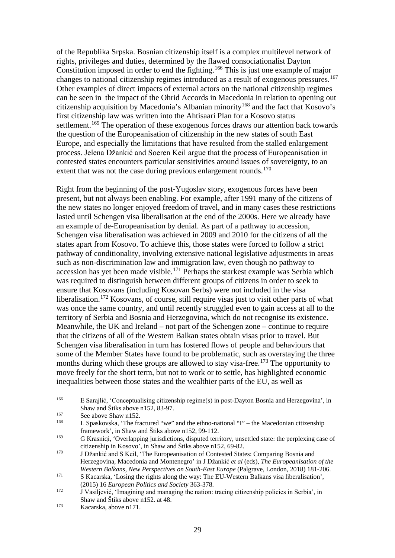of the Republika Srpska. Bosnian citizenship itself is a complex multilevel network of rights, privileges and duties, determined by the flawed consociationalist Dayton Constitution imposed in order to end the fighting. [166](#page-28-1) This is just one example of major changes to national citizenship regimes introduced as a result of exogenous pressures.<sup>[167](#page-28-2)</sup> Other examples of direct impacts of external actors on the national citizenship regimes can be seen in the impact of the Ohrid Accords in Macedonia in relation to opening out citizenship acquisition by Macedonia's Albanian minority<sup>[168](#page-28-3)</sup> and the fact that Kosovo's first citizenship law was written into the Ahtisaari Plan for a Kosovo status settlement.<sup>[169](#page-28-4)</sup> The operation of these exogenous forces draws our attention back towards the question of the Europeanisation of citizenship in the new states of south East Europe, and especially the limitations that have resulted from the stalled enlargement process. Jelena Džankić and Soeren Keil argue that the process of Europeanisation in contested states encounters particular sensitivities around issues of sovereignty, to an extent that was not the case during previous enlargement rounds.<sup>[170](#page-28-5)</sup>

<span id="page-28-0"></span>Right from the beginning of the post-Yugoslav story, exogenous forces have been present, but not always been enabling. For example, after 1991 many of the citizens of the new states no longer enjoyed freedom of travel, and in many cases these restrictions lasted until Schengen visa liberalisation at the end of the 2000s. Here we already have an example of de-Europeanisation by denial. As part of a pathway to accession, Schengen visa liberalisation was achieved in 2009 and 2010 for the citizens of all the states apart from Kosovo. To achieve this, those states were forced to follow a strict pathway of conditionality, involving extensive national legislative adjustments in areas such as non-discrimination law and immigration law, even though no pathway to accession has yet been made visible.<sup>[171](#page-28-6)</sup> Perhaps the starkest example was Serbia which was required to distinguish between different groups of citizens in order to seek to ensure that Kosovans (including Kosovan Serbs) were not included in the visa liberalisation.<sup>[172](#page-28-7)</sup> Kosovans, of course, still require visas just to visit other parts of what was once the same country, and until recently struggled even to gain access at all to the territory of Serbia and Bosnia and Herzegovina, which do not recognise its existence. Meanwhile, the UK and Ireland – not part of the Schengen zone – continue to require that the citizens of all of the Western Balkan states obtain visas prior to travel. But Schengen visa liberalisation in turn has fostered flows of people and behaviours that some of the Member States have found to be problematic, such as overstaying the three months during which these groups are allowed to stay visa-free.<sup>[173](#page-28-8)</sup> The opportunity to move freely for the short term, but not to work or to settle, has highlighted economic inequalities between those states and the wealthier parts of the EU, as well as

<span id="page-28-1"></span><sup>&</sup>lt;sup>166</sup> E Sarajlić, 'Conceptualising citizenship regime(s) in post-Dayton Bosnia and Herzegovina', in Shaw and Štiks above [n152,](#page-25-5) 83-97.

<span id="page-28-2"></span><sup>&</sup>lt;sup>167</sup> See above Shaw [n152.](#page-25-5)<br><sup>168</sup> J. Speelsyske, 'The free

<span id="page-28-3"></span>L Spaskovska, 'The fractured "we" and the ethno-national "I" – the Macedonian citizenship framework', in Shaw and Štiks above [n152,](#page-25-5) 99-112.

<span id="page-28-4"></span><sup>169</sup> G Krasniqi, 'Overlapping jurisdictions, disputed territory, unsettled state: the perplexing case of citizenship in Kosovo', in Shaw and Štiks above [n152,](#page-25-5) 69-82.

<span id="page-28-5"></span><sup>&</sup>lt;sup>170</sup> J Džankić and S Keil, 'The Europeanisation of Contested States: Comparing Bosnia and Herzegovina, Macedonia and Montenegro' in J Džankić *et al* (eds), *The Europeanisation of the Western Balkans, New Perspectives on South-East Europe* (Palgrave, London, 2018) 181-206.

<span id="page-28-6"></span><sup>&</sup>lt;sup>171</sup> S Kacarska, 'Losing the rights along the way: The EU-Western Balkans visa liberalisation', (2015) 16 *European Politics and Society* 363-378.

<span id="page-28-7"></span> $172$  J Vasiljević, 'Imagining and managing the nation: tracing citizenship policies in Serbia', in Shaw and Štiks above [n152.](#page-25-5) at 48.

<span id="page-28-8"></span><sup>173</sup> Kacarska, above [n171.](#page-28-0)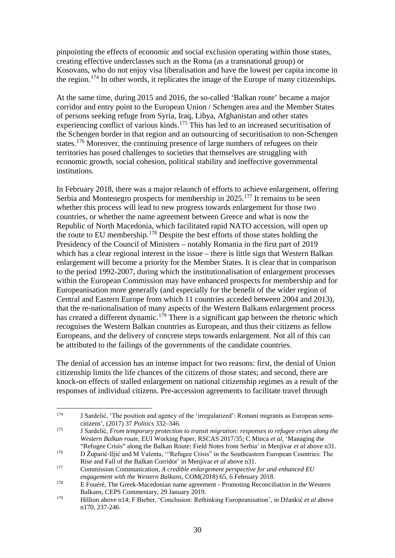pinpointing the effects of economic and social exclusion operating within those states, creating effective underclasses such as the Roma (as a transnational group) or Kosovans, who do not enjoy visa liberalisation and have the lowest per capita income in the region.<sup>[174](#page-29-0)</sup> In other words, it replicates the image of the Europe of many citizenships.

At the same time, during 2015 and 2016, the so-called 'Balkan route' became a major corridor and entry point to the European Union / Schengen area and the Member States of persons seeking refuge from Syria, Iraq, Libya, Afghanistan and other states experiencing conflict of various kinds.<sup>[175](#page-29-1)</sup> This has led to an increased securitisation of the Schengen border in that region and an outsourcing of securitisation to non-Schengen states.<sup>[176](#page-29-2)</sup> Moreover, the continuing presence of large numbers of refugees on their territories has posed challenges to societies that themselves are struggling with economic growth, social cohesion, political stability and ineffective governmental institutions.

<span id="page-29-6"></span>In February 2018, there was a major relaunch of efforts to achieve enlargement, offering Serbia and Montenegro prospects for membership in 2025.<sup>[177](#page-29-3)</sup> It remains to be seen whether this process will lead to new progress towards enlargement for those two countries, or whether the name agreement between Greece and what is now the Republic of North Macedonia, which facilitated rapid NATO accession, will open up the route to EU membership.[178](#page-29-4) Despite the best efforts of those states holding the Presidency of the Council of Ministers – notably Romania in the first part of 2019 which has a clear regional interest in the issue – there is little sign that Western Balkan enlargement will become a priority for the Member States. It is clear that in comparison to the period 1992-2007, during which the institutionalisation of enlargement processes within the European Commission may have enhanced prospects for membership and for Europeanisation more generally (and especially for the benefit of the wider region of Central and Eastern Europe from which 11 countries acceded between 2004 and 2013), that the re-nationalisation of many aspects of the Western Balkans enlargement process has created a different dynamic.<sup>[179](#page-29-5)</sup> There is a significant gap between the rhetoric which recognises the Western Balkan countries as European, and thus their citizens as fellow Europeans, and the delivery of concrete steps towards enlargement. Not all of this can be attributed to the failings of the governments of the candidate countries.

The denial of accession has an intense impact for two reasons: first, the denial of Union citizenship limits the life chances of the citizens of those states; and second, there are knock-on effects of stalled enlargement on national citizenship regimes as a result of the responses of individual citizens. Pre-accession agreements to facilitate travel through

<span id="page-29-0"></span><sup>&</sup>lt;sup>174</sup> J Sardelić, 'The position and agency of the 'irregularized': Romani migrants as European semicitizens', (2017) 37 *Politics* 332–346.

<span id="page-29-1"></span><sup>175</sup> J Sardelić, *From temporary protection to transit migration: responses to refugee crises along the Western Balkan route*, EUI Working Paper, RSCAS 2017/35; C Minca *et al*, 'Managing the "Refugee Crisis" along the Balkan Route: Field Notes from Serbia' in Menjívar *et al* above [n31.](#page-7-0)

<span id="page-29-2"></span><sup>176</sup> D Župarić-Iljić and M Valenta, '"Refugee Crisis" in the Southeastern European Countries: The Rise and Fall of the Balkan Corridor' in Menjívar *et al* above [n31.](#page-7-0)

<span id="page-29-3"></span><sup>177</sup> Commission Communication, *A credible enlargement perspective for and enhanced EU engagement with the Western Balkans*, COM(2018) 65, 6 February 2018.

<span id="page-29-4"></span><sup>&</sup>lt;sup>178</sup> E Fouéré, The Greek-Macedonian name agreement - Promoting Reconciliation in the Western Balkans, CEPS Commentary, 29 January 2019.

<span id="page-29-5"></span><sup>179</sup> Hillion above [n14;](#page-3-9) F Bieber, 'Conclusion: Rethinking Europeanisation', in Džankić *et al* above [n170,](#page-27-9) 237-246.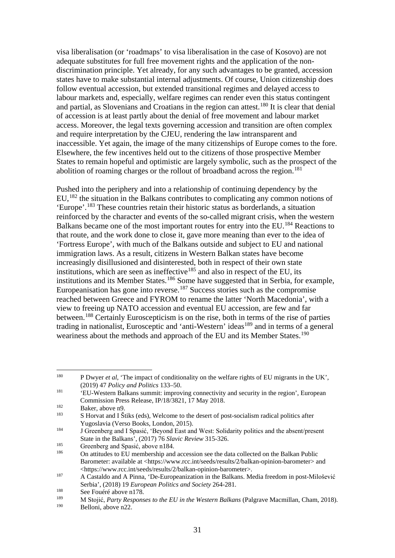visa liberalisation (or 'roadmaps' to visa liberalisation in the case of Kosovo) are not adequate substitutes for full free movement rights and the application of the nondiscrimination principle. Yet already, for any such advantages to be granted, accession states have to make substantial internal adjustments. Of course, Union citizenship does follow eventual accession, but extended transitional regimes and delayed access to labour markets and, especially, welfare regimes can render even this status contingent and partial, as Slovenians and Croatians in the region can attest.<sup>[180](#page-30-1)</sup> It is clear that denial of accession is at least partly about the denial of free movement and labour market access. Moreover, the legal texts governing accession and transition are often complex and require interpretation by the CJEU, rendering the law intransparent and inaccessible. Yet again, the image of the many citizenships of Europe comes to the fore. Elsewhere, the few incentives held out to the citizens of those prospective Member States to remain hopeful and optimistic are largely symbolic, such as the prospect of the abolition of roaming charges or the rollout of broadband across the region.<sup>[181](#page-30-2)</sup>

<span id="page-30-0"></span>Pushed into the periphery and into a relationship of continuing dependency by the EU,[182](#page-30-3) the situation in the Balkans contributes to complicating any common notions of 'Europe'. [183](#page-30-4) These countries retain their historic status as borderlands, a situation reinforced by the character and events of the so-called migrant crisis, when the western Balkans became one of the most important routes for entry into the EU.<sup>[184](#page-30-5)</sup> Reactions to that route, and the work done to close it, gave more meaning than ever to the idea of 'Fortress Europe', with much of the Balkans outside and subject to EU and national immigration laws. As a result, citizens in Western Balkan states have become increasingly disillusioned and disinterested, both in respect of their own state institutions, which are seen as ineffective<sup>[185](#page-30-6)</sup> and also in respect of the EU, its institutions and its Member States.<sup>[186](#page-30-7)</sup> Some have suggested that in Serbia, for example, Europeanisation has gone into reverse.<sup>[187](#page-30-8)</sup> Success stories such as the compromise reached between Greece and FYROM to rename the latter 'North Macedonia', with a view to freeing up NATO accession and eventual EU accession, are few and far between.<sup>[188](#page-30-9)</sup> Certainly Euroscepticism is on the rise, both in terms of the rise of parties trading in nationalist, Eurosceptic and 'anti-Western' ideas<sup>[189](#page-30-10)</sup> and in terms of a general weariness about the methods and approach of the EU and its Member States.<sup>[190](#page-30-11)</sup>

<span id="page-30-1"></span><sup>&</sup>lt;sup>180</sup> P Dwyer *et al*, 'The impact of conditionality on the welfare rights of EU migrants in the UK', (2019) 47 *Policy and Politics* 133–50.

<span id="page-30-2"></span><sup>&</sup>lt;sup>181</sup> 'EU-Western Balkans summit: improving connectivity and security in the region', European Commission Press Release, IP/18/3821, 17 May 2018.

<span id="page-30-3"></span><sup>&</sup>lt;sup>182</sup> Baker, above [n9.](#page-3-10)<br><sup>183</sup> S. Horvet and I.  $\check{S}$ .

<span id="page-30-4"></span>S Horvat and I Štiks (eds), Welcome to the desert of post-socialism radical politics after Yugoslavia (Verso Books, London, 2015).

<span id="page-30-5"></span><sup>184</sup> J Greenberg and I Spasić, 'Beyond East and West: Solidarity politics and the absent/present State in the Balkans', (2017) 76 *Slavic Review* 315-326.

<span id="page-30-6"></span><sup>&</sup>lt;sup>185</sup> Greenberg and Spasić, above n[184.](#page-30-0)

<span id="page-30-7"></span><sup>186</sup> On attitudes to EU membership and accession see the data collected on the Balkan Public Barometer: available at <https://www.rcc.int/seeds/results/2/balkan-opinion-barometer> and <https://www.rcc.int/seeds/results/2/balkan-opinion-barometer>.

<span id="page-30-8"></span><sup>&</sup>lt;sup>187</sup> A Castaldo and A Pinna, 'De-Europeanization in the Balkans. Media freedom in post-Milošević Serbia', (2018) 19 *European Politics and Society* 264-281.

<span id="page-30-9"></span><sup>&</sup>lt;sup>188</sup> See Fouéré above [n178.](#page-29-6)<br><sup>189</sup> M Stoijé *Party Respons* 

<span id="page-30-11"></span><span id="page-30-10"></span><sup>189</sup> M Stojić, *Party Responses to the EU in the Western Balkans* (Palgrave Macmillan, Cham, 2018).

Belloni, above [n22.](#page-5-3)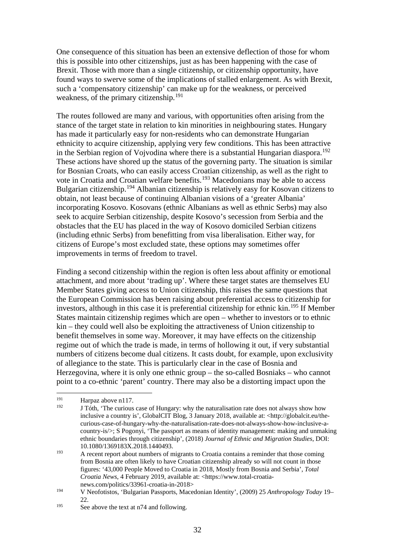One consequence of this situation has been an extensive deflection of those for whom this is possible into other citizenships, just as has been happening with the case of Brexit. Those with more than a single citizenship, or citizenship opportunity, have found ways to swerve some of the implications of stalled enlargement. As with Brexit, such a 'compensatory citizenship' can make up for the weakness, or perceived weakness, of the primary citizenship.<sup>[191](#page-31-0)</sup>

The routes followed are many and various, with opportunities often arising from the stance of the target state in relation to kin minorities in neighbouring states. Hungary has made it particularly easy for non-residents who can demonstrate Hungarian ethnicity to acquire citizenship, applying very few conditions. This has been attractive in the Serbian region of Vojvodina where there is a substantial Hungarian diaspora.<sup>[192](#page-31-1)</sup> These actions have shored up the status of the governing party. The situation is similar for Bosnian Croats, who can easily access Croatian citizenship, as well as the right to vote in Croatia and Croatian welfare benefits.<sup>[193](#page-31-2)</sup> Macedonians may be able to access Bulgarian citizenship.<sup>[194](#page-31-3)</sup> Albanian citizenship is relatively easy for Kosovan citizens to obtain, not least because of continuing Albanian visions of a 'greater Albania' incorporating Kosovo. Kosovans (ethnic Albanians as well as ethnic Serbs) may also seek to acquire Serbian citizenship, despite Kosovo's secession from Serbia and the obstacles that the EU has placed in the way of Kosovo domiciled Serbian citizens (including ethnic Serbs) from benefitting from visa liberalisation. Either way, for citizens of Europe's most excluded state, these options may sometimes offer improvements in terms of freedom to travel.

Finding a second citizenship within the region is often less about affinity or emotional attachment, and more about 'trading up'. Where these target states are themselves EU Member States giving access to Union citizenship, this raises the same questions that the European Commission has been raising about preferential access to citizenship for investors, although in this case it is preferential citizenship for ethnic kin.[195](#page-31-4) If Member States maintain citizenship regimes which are open – whether to investors or to ethnic kin – they could well also be exploiting the attractiveness of Union citizenship to benefit themselves in some way. Moreover, it may have effects on the citizenship regime out of which the trade is made, in terms of hollowing it out, if very substantial numbers of citizens become dual citizens. It casts doubt, for example, upon exclusivity of allegiance to the state. This is particularly clear in the case of Bosnia and Herzegovina, where it is only one ethnic group – the so-called Bosniaks – who cannot point to a co-ethnic 'parent' country. There may also be a distorting impact upon the

<span id="page-31-0"></span> $\frac{191}{192}$  Harpaz above [n117.](#page-18-7)

<span id="page-31-1"></span>J Tóth, 'The curious case of Hungary: why the naturalisation rate does not always show how inclusive a country is', GlobalCIT Blog, 3 January 2018, available at: <http://globalcit.eu/thecurious-case-of-hungary-why-the-naturalisation-rate-does-not-always-show-how-inclusive-acountry-is/>; S Pogonyi, 'The passport as means of identity management: making and unmaking ethnic boundaries through citizenship', (2018) *Journal of Ethnic and Migration Studies*, DOI: 10.1080/1369183X.2018.1440493.

<span id="page-31-2"></span><sup>&</sup>lt;sup>193</sup> A recent report about numbers of migrants to Croatia contains a reminder that those coming from Bosnia are often likely to have Croatian citizenship already so will not count in those figures: '43,000 People Moved to Croatia in 2018, Mostly from Bosnia and Serbia', *Total Croatia News*, 4 February 2019, available at: <https://www.total-croatianews.com/politics/33961-croatia-in-2018>

<span id="page-31-3"></span><sup>194</sup> V Neofotistos, 'Bulgarian Passports, Macedonian Identity', (2009) 25 *Anthropology Today* 19– 22.

<span id="page-31-4"></span><sup>&</sup>lt;sup>195</sup> See above the text at [n74](#page-13-8) and following.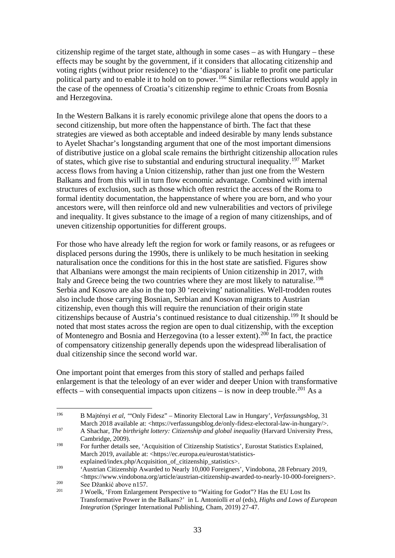citizenship regime of the target state, although in some cases – as with Hungary – these effects may be sought by the government, if it considers that allocating citizenship and voting rights (without prior residence) to the 'diaspora' is liable to profit one particular political party and to enable it to hold on to power.<sup>[196](#page-32-0)</sup> Similar reflections would apply in the case of the openness of Croatia's citizenship regime to ethnic Croats from Bosnia and Herzegovina.

In the Western Balkans it is rarely economic privilege alone that opens the doors to a second citizenship, but more often the happenstance of birth. The fact that these strategies are viewed as both acceptable and indeed desirable by many lends substance to Ayelet Shachar's longstanding argument that one of the most important dimensions of distributive justice on a global scale remains the birthright citizenship allocation rules of states, which give rise to substantial and enduring structural inequality.<sup>[197](#page-32-1)</sup> Market access flows from having a Union citizenship, rather than just one from the Western Balkans and from this will in turn flow economic advantage. Combined with internal structures of exclusion, such as those which often restrict the access of the Roma to formal identity documentation, the happenstance of where you are born, and who your ancestors were, will then reinforce old and new vulnerabilities and vectors of privilege and inequality. It gives substance to the image of a region of many citizenships, and of uneven citizenship opportunities for different groups.

For those who have already left the region for work or family reasons, or as refugees or displaced persons during the 1990s, there is unlikely to be much hesitation in seeking naturalisation once the conditions for this in the host state are satisfied. Figures show that Albanians were amongst the main recipients of Union citizenship in 2017, with Italy and Greece being the two countries where they are most likely to naturalise.<sup>[198](#page-32-2)</sup> Serbia and Kosovo are also in the top 30 'receiving' nationalities. Well-trodden routes also include those carrying Bosnian, Serbian and Kosovan migrants to Austrian citizenship, even though this will require the renunciation of their origin state citizenships because of Austria's continued resistance to dual citizenship.[199](#page-32-3) It should be noted that most states across the region are open to dual citizenship, with the exception of Montenegro and Bosnia and Herzegovina (to a lesser extent).<sup>[200](#page-32-4)</sup> In fact, the practice of compensatory citizenship generally depends upon the widespread liberalisation of dual citizenship since the second world war.

One important point that emerges from this story of stalled and perhaps failed enlargement is that the teleology of an ever wider and deeper Union with transformative effects – with consequential impacts upon citizens – is now in deep trouble.<sup>[201](#page-32-5)</sup> As a

<span id="page-32-4"></span>

<span id="page-32-0"></span> <sup>196</sup> B Majtényi *et al*, *'*"Only Fidesz" – Minority Electoral Law in Hungary', *Verfassungsblog,* <sup>31</sup> March 2018 available at: <https://verfassungsblog.de/only-fidesz-electoral-law-in-hungary/>.

<span id="page-32-1"></span><sup>197</sup> A Shachar, *The birthright lottery: Citizenship and global inequality* (Harvard University Press, Cambridge, 2009).

<span id="page-32-2"></span><sup>&</sup>lt;sup>198</sup> For further details see, 'Acquisition of Citizenship Statistics', Eurostat Statistics Explained, March 2019, available at: <https://ec.europa.eu/eurostat/statisticsexplained/index.php/Acquisition\_of\_citizenship\_statistics>.

<span id="page-32-3"></span><sup>199</sup> 'Austrian Citizenship Awarded to Nearly 10,000 Foreigners', Vindobona, 28 February 2019, %https://www.vindobona.org/article/austrian-citizenship-awarded-to-nearly-10-000-foreigners>.<br>
200 See Džankić above [n157.](#page-26-6)<br>
201 Meethe EU Leet Its

<span id="page-32-5"></span>J Woelk, 'From Enlargement Perspective to "Waiting for Godot"? Has the EU Lost Its Transformative Power in the Balkans?' in L Antoniolli *et al* (eds), *Highs and Lows of European Integration* (Springer International Publishing, Cham, 2019) 27-47.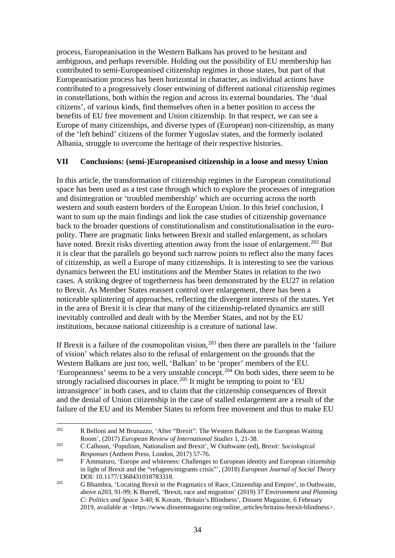process, Europeanisation in the Western Balkans has proved to be hesitant and ambiguous, and perhaps reversible. Holding out the possibility of EU membership has contributed to semi-Europeanised citizenship regimes in those states, but part of that Europeanisation process has been horizontal in character, as individual actions have contributed to a progressively closer entwining of different national citizenship regimes in constellations, both within the region and across its external boundaries. The 'dual citizens', of various kinds, find themselves often in a better position to access the benefits of EU free movement and Union citizenship. In that respect, we can see a Europe of many citizenships, and diverse types of (European) non-citizenship, as many of the 'left behind' citizens of the former Yugoslav states, and the formerly isolated Albania, struggle to overcome the heritage of their respective histories.

### **VII Conclusions: (semi-)Europeanised citizenship in a loose and messy Union**

In this article, the transformation of citizenship regimes in the European constitutional space has been used as a test case through which to explore the processes of integration and disintegration or 'troubled membership' which are occurring across the north western and south eastern borders of the European Union. In this brief conclusion, I want to sum up the main findings and link the case studies of citizenship governance back to the broader questions of constitutionalism and constitutionalisation in the europolity. There are pragmatic links between Brexit and stalled enlargement, as scholars have noted. Brexit risks diverting attention away from the issue of enlargement.<sup>[202](#page-33-1)</sup> But it is clear that the parallels go beyond such narrow points to reflect also the many faces of citizenship, as well a Europe of many citizenships. It is interesting to see the various dynamics between the EU institutions and the Member States in relation to the two cases. A striking degree of togetherness has been demonstrated by the EU27 in relation to Brexit. As Member States reassert control over enlargement, there has been a noticeable splintering of approaches, reflecting the divergent interests of the states. Yet in the area of Brexit it is clear that many of the citizenship-related dynamics are still inevitably controlled and dealt with by the Member States, and not by the EU institutions, because national citizenship is a creature of national law.

<span id="page-33-0"></span>If Brexit is a failure of the cosmopolitan vision,  $203$  then there are parallels in the 'failure of vision' which relates also to the refusal of enlargement on the grounds that the Western Balkans are just too, well, 'Balkan' to be 'proper' members of the EU. 'Europeanness' seems to be a very unstable concept.[204](#page-33-3) On both sides, there seem to be strongly racialised discourses in place.<sup>[205](#page-33-4)</sup> It might be tempting to point to 'EU intransigence' in both cases, and to claim that the citizenship consequences of Brexit and the denial of Union citizenship in the case of stalled enlargement are a result of the failure of the EU and its Member States to reform free movement and thus to make EU

<span id="page-33-1"></span> <sup>202</sup> R Belloni and M Brunazzo, 'After "Brexit": The Western Balkans in the European Waiting Room', (2017) *European Review of International Studies* 1, 21-38.

<span id="page-33-2"></span><sup>203</sup> C Calhoun, 'Populism, Nationalism and Brexit', W Outhwaite (ed), *Brexit: Sociological Responses* (Anthem Press, London, 2017) 57-76.

<span id="page-33-3"></span><sup>&</sup>lt;sup>204</sup> F Ammaturo, 'Europe and whiteness: Challenges to European identity and European citizenship in light of Brexit and the "refugees/migrants crisis"', (2018) *European Journal of Social Theory* DOI: 10.1177/1368431018783318.

<span id="page-33-4"></span><sup>&</sup>lt;sup>205</sup> G Bhambra, 'Locating Brexit in the Pragmatics of Race, Citizenship and Empire', in Outhwaite, above [n203,](#page-33-0) 91-99; K Burrell, 'Brexit, race and migration' (2019) 37 *Environment and Planning C: Politics and Space* 3-40; K Koram, 'Britain's Blindness', Dissent Magazine, 6 February 2019, available at <https://www.dissentmagazine.org/online\_articles/britains-brexit-blindness>.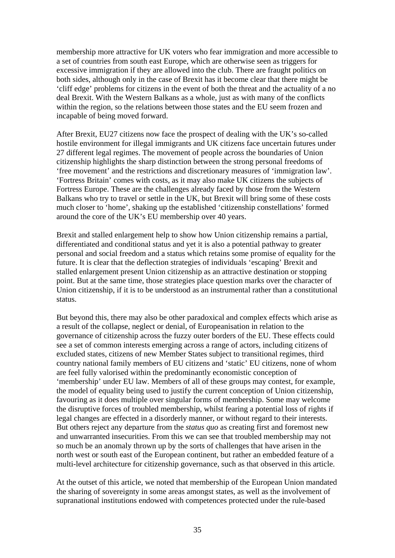membership more attractive for UK voters who fear immigration and more accessible to a set of countries from south east Europe, which are otherwise seen as triggers for excessive immigration if they are allowed into the club. There are fraught politics on both sides, although only in the case of Brexit has it become clear that there might be 'cliff edge' problems for citizens in the event of both the threat and the actuality of a no deal Brexit. With the Western Balkans as a whole, just as with many of the conflicts within the region, so the relations between those states and the EU seem frozen and incapable of being moved forward.

After Brexit, EU27 citizens now face the prospect of dealing with the UK's so-called hostile environment for illegal immigrants and UK citizens face uncertain futures under 27 different legal regimes. The movement of people across the boundaries of Union citizenship highlights the sharp distinction between the strong personal freedoms of 'free movement' and the restrictions and discretionary measures of 'immigration law'. 'Fortress Britain' comes with costs, as it may also make UK citizens the subjects of Fortress Europe. These are the challenges already faced by those from the Western Balkans who try to travel or settle in the UK, but Brexit will bring some of these costs much closer to 'home', shaking up the established 'citizenship constellations' formed around the core of the UK's EU membership over 40 years.

Brexit and stalled enlargement help to show how Union citizenship remains a partial, differentiated and conditional status and yet it is also a potential pathway to greater personal and social freedom and a status which retains some promise of equality for the future. It is clear that the deflection strategies of individuals 'escaping' Brexit and stalled enlargement present Union citizenship as an attractive destination or stopping point. But at the same time, those strategies place question marks over the character of Union citizenship, if it is to be understood as an instrumental rather than a constitutional status.

But beyond this, there may also be other paradoxical and complex effects which arise as a result of the collapse, neglect or denial, of Europeanisation in relation to the governance of citizenship across the fuzzy outer borders of the EU. These effects could see a set of common interests emerging across a range of actors, including citizens of excluded states, citizens of new Member States subject to transitional regimes, third country national family members of EU citizens and 'static' EU citizens, none of whom are feel fully valorised within the predominantly economistic conception of 'membership' under EU law. Members of all of these groups may contest, for example, the model of equality being used to justify the current conception of Union citizenship, favouring as it does multiple over singular forms of membership. Some may welcome the disruptive forces of troubled membership, whilst fearing a potential loss of rights if legal changes are effected in a disorderly manner, or without regard to their interests. But others reject any departure from the *status quo* as creating first and foremost new and unwarranted insecurities. From this we can see that troubled membership may not so much be an anomaly thrown up by the sorts of challenges that have arisen in the north west or south east of the European continent, but rather an embedded feature of a multi-level architecture for citizenship governance, such as that observed in this article.

At the outset of this article, we noted that membership of the European Union mandated the sharing of sovereignty in some areas amongst states, as well as the involvement of supranational institutions endowed with competences protected under the rule-based